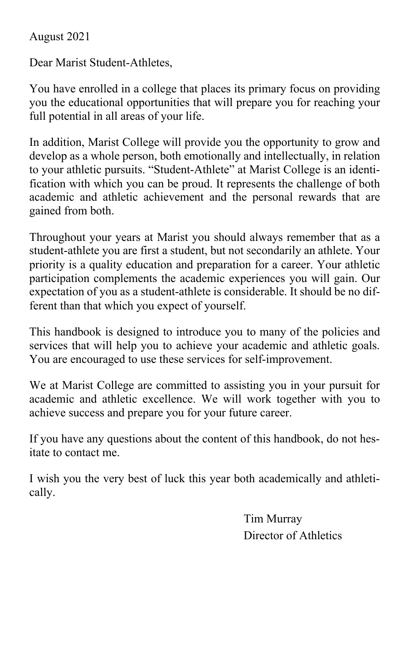# August 2021

Dear Marist Student-Athletes,

You have enrolled in a college that places its primary focus on providing you the educational opportunities that will prepare you for reaching your full potential in all areas of your life.

In addition, Marist College will provide you the opportunity to grow and develop as a whole person, both emotionally and intellectually, in relation to your athletic pursuits. "Student-Athlete" at Marist College is an identification with which you can be proud. It represents the challenge of both academic and athletic achievement and the personal rewards that are gained from both.

Throughout your years at Marist you should always remember that as a student-athlete you are first a student, but not secondarily an athlete. Your priority is a quality education and preparation for a career. Your athletic participation complements the academic experiences you will gain. Our expectation of you as a student-athlete is considerable. It should be no different than that which you expect of yourself.

This handbook is designed to introduce you to many of the policies and services that will help you to achieve your academic and athletic goals. You are encouraged to use these services for self-improvement.

We at Marist College are committed to assisting you in your pursuit for academic and athletic excellence. We will work together with you to achieve success and prepare you for your future career.

If you have any questions about the content of this handbook, do not hesitate to contact me.

I wish you the very best of luck this year both academically and athletically.

> Tim Murray Director of Athletics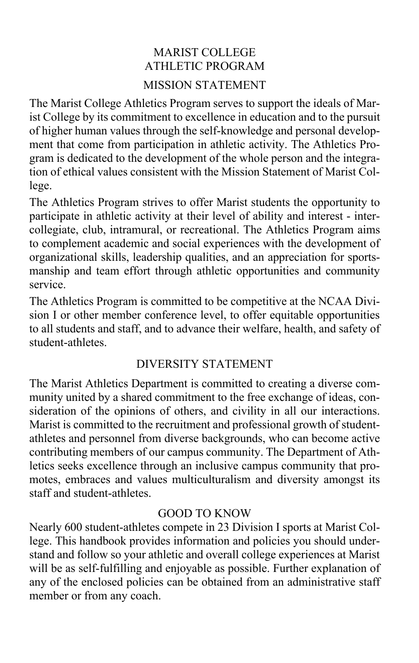# MARIST COLLEGE ATHLETIC PROGRAM MISSION STATEMENT

The Marist College Athletics Program serves to support the ideals of Marist College by its commitment to excellence in education and to the pursuit of higher human values through the self-knowledge and personal development that come from participation in athletic activity. The Athletics Program is dedicated to the development of the whole person and the integration of ethical values consistent with the Mission Statement of Marist College.

The Athletics Program strives to offer Marist students the opportunity to participate in athletic activity at their level of ability and interest - intercollegiate, club, intramural, or recreational. The Athletics Program aims to complement academic and social experiences with the development of organizational skills, leadership qualities, and an appreciation for sportsmanship and team effort through athletic opportunities and community service.

The Athletics Program is committed to be competitive at the NCAA Division I or other member conference level, to offer equitable opportunities to all students and staff, and to advance their welfare, health, and safety of student-athletes.

# DIVERSITY STATEMENT

The Marist Athletics Department is committed to creating a diverse community united by a shared commitment to the free exchange of ideas, consideration of the opinions of others, and civility in all our interactions. Marist is committed to the recruitment and professional growth of studentathletes and personnel from diverse backgrounds, who can become active contributing members of our campus community. The Department of Athletics seeks excellence through an inclusive campus community that promotes, embraces and values multiculturalism and diversity amongst its staff and student-athletes.

# GOOD TO KNOW

Nearly 600 student-athletes compete in 23 Division I sports at Marist College. This handbook provides information and policies you should understand and follow so your athletic and overall college experiences at Marist will be as self-fulfilling and enjoyable as possible. Further explanation of any of the enclosed policies can be obtained from an administrative staff member or from any coach.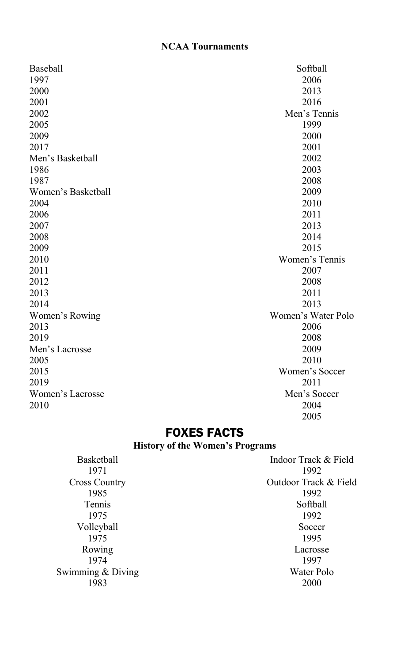# **NCAA Tournaments**

| Baseball           | Softball           |
|--------------------|--------------------|
| 1997               | 2006               |
| 2000               | 2013               |
| 2001               | 2016               |
| 2002               | Men's Tennis       |
| 2005               | 1999               |
| 2009               | 2000               |
| 2017               | 2001               |
| Men's Basketball   | 2002               |
| 1986               | 2003               |
| 1987               | 2008               |
| Women's Basketball | 2009               |
| 2004               | 2010               |
| 2006               | 2011               |
| 2007               | 2013               |
| 2008               | 2014               |
| 2009               | 2015               |
| 2010               | Women's Tennis     |
| 2011               | 2007               |
| 2012               | 2008               |
| 2013               | 2011               |
| 2014               | 2013               |
| Women's Rowing     | Women's Water Polo |
| 2013               | 2006               |
| 2019               | 2008               |
| Men's Lacrosse     | 2009               |
| 2005               | 2010               |
| 2015               | Women's Soccer     |
| 2019               | 2011               |
| Women's Lacrosse   | Men's Soccer       |
| 2010               | 2004               |
|                    | 2005               |

# FOXES FACTS

**History of the Women's Programs**

| <b>Basketball</b>    | Indoor Track & Field  |
|----------------------|-----------------------|
| 1971                 | 1992                  |
| <b>Cross Country</b> | Outdoor Track & Field |
| 1985                 | 1992                  |
| <b>Tennis</b>        | Softball              |
| 1975                 | 1992                  |
| Volleyball           | Soccer                |
| 1975                 | 1995                  |
| Rowing               | Lacrosse              |
| 1974                 | 1997                  |
| Swimming & Diving    | Water Polo            |
| 1983                 | 2000                  |
|                      |                       |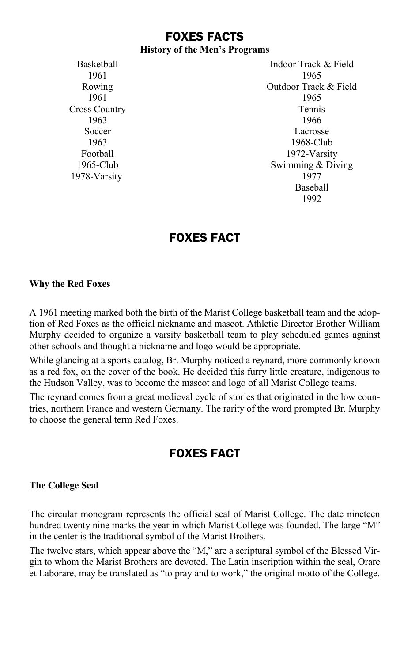# FOXES FACTS

#### **History of the Men's Programs**

Cross Country Tennis

Basketball **Indoor Track & Field** 1961 1965 Rowing Outdoor Track & Field<br>1961 1961 1965 1961 1965 1963 1966 Soccer Lacrosse 1963 1968-Club Football 1972-Varsity 1965-Club Swimming & Diving 1978-Varsity 1977 Baseball 1992

# FOXES FACT

#### **Why the Red Foxes**

A 1961 meeting marked both the birth of the Marist College basketball team and the adoption of Red Foxes as the official nickname and mascot. Athletic Director Brother William Murphy decided to organize a varsity basketball team to play scheduled games against other schools and thought a nickname and logo would be appropriate.

While glancing at a sports catalog, Br. Murphy noticed a reynard, more commonly known as a red fox, on the cover of the book. He decided this furry little creature, indigenous to the Hudson Valley, was to become the mascot and logo of all Marist College teams.

The reynard comes from a great medieval cycle of stories that originated in the low countries, northern France and western Germany. The rarity of the word prompted Br. Murphy to choose the general term Red Foxes.

# FOXES FACT

#### **The College Seal**

The circular monogram represents the official seal of Marist College. The date nineteen hundred twenty nine marks the year in which Marist College was founded. The large "M" in the center is the traditional symbol of the Marist Brothers.

The twelve stars, which appear above the "M," are a scriptural symbol of the Blessed Virgin to whom the Marist Brothers are devoted. The Latin inscription within the seal, Orare et Laborare, may be translated as "to pray and to work," the original motto of the College.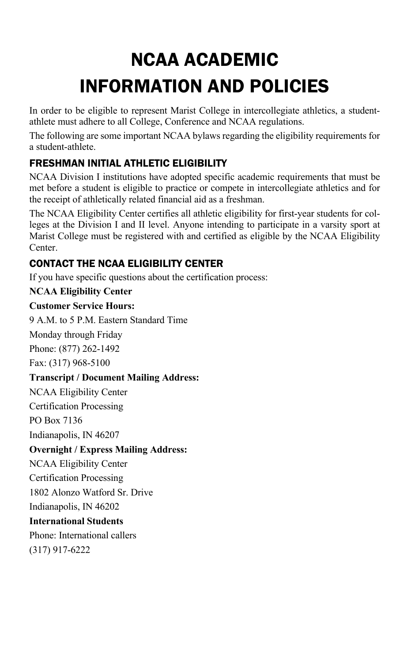# NCAA ACADEMIC INFORMATION AND POLICIES

In order to be eligible to represent Marist College in intercollegiate athletics, a studentathlete must adhere to all College, Conference and NCAA regulations.

The following are some important NCAA bylaws regarding the eligibility requirements for a student-athlete.

# FRESHMAN INITIAL ATHLETIC ELIGIBILITY

NCAA Division I institutions have adopted specific academic requirements that must be met before a student is eligible to practice or compete in intercollegiate athletics and for the receipt of athletically related financial aid as a freshman.

The NCAA Eligibility Center certifies all athletic eligibility for first-year students for colleges at the Division I and II level. Anyone intending to participate in a varsity sport at Marist College must be registered with and certified as eligible by the NCAA Eligibility Center.

# CONTACT THE NCAA ELIGIBILITY CENTER

If you have specific questions about the certification process:

#### **NCAA Eligibility Center**

#### **Customer Service Hours:**

9 A.M. to 5 P.M. Eastern Standard Time

Monday through Friday

Phone: (877) 262-1492

Fax: (317) 968-5100

### **Transcript / Document Mailing Address:**

NCAA Eligibility Center

Certification Processing

PO Box 7136

Indianapolis, IN 46207

### **Overnight / Express Mailing Address:**

NCAA Eligibility Center

Certification Processing

1802 Alonzo Watford Sr. Drive

Indianapolis, IN 46202

#### **International Students**

Phone: International callers (317) 917-6222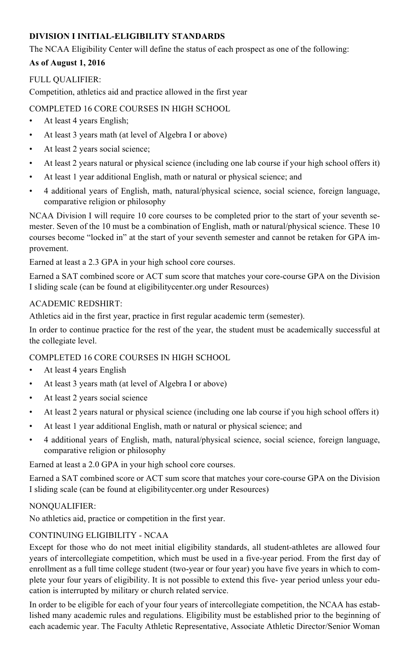#### **DIVISION I INITIAL-ELIGIBILITY STANDARDS**

The NCAA Eligibility Center will define the status of each prospect as one of the following:

#### **As of August 1, 2016**

#### FULL QUALIFIER:

Competition, athletics aid and practice allowed in the first year

#### COMPLETED 16 CORE COURSES IN HIGH SCHOOL

- At least 4 years English;
- At least 3 years math (at level of Algebra I or above)
- At least 2 years social science;
- At least 2 years natural or physical science (including one lab course if your high school offers it)
- At least 1 year additional English, math or natural or physical science; and
- 4 additional years of English, math, natural/physical science, social science, foreign language, comparative religion or philosophy

NCAA Division I will require 10 core courses to be completed prior to the start of your seventh semester. Seven of the 10 must be a combination of English, math or natural/physical science. These 10 courses become "locked in" at the start of your seventh semester and cannot be retaken for GPA improvement.

Earned at least a 2.3 GPA in your high school core courses.

Earned a SAT combined score or ACT sum score that matches your core-course GPA on the Division I sliding scale (can be found at eligibilitycenter.org under Resources)

#### ACADEMIC REDSHIRT:

Athletics aid in the first year, practice in first regular academic term (semester).

In order to continue practice for the rest of the year, the student must be academically successful at the collegiate level.

#### COMPLETED 16 CORE COURSES IN HIGH SCHOOL

- At least 4 years English
- At least 3 years math (at level of Algebra I or above)
- At least 2 years social science
- At least 2 years natural or physical science (including one lab course if you high school offers it)
- At least 1 year additional English, math or natural or physical science; and
- 4 additional years of English, math, natural/physical science, social science, foreign language, comparative religion or philosophy

Earned at least a 2.0 GPA in your high school core courses.

Earned a SAT combined score or ACT sum score that matches your core-course GPA on the Division I sliding scale (can be found at eligibilitycenter.org under Resources)

#### NONQUALIFIER:

No athletics aid, practice or competition in the first year.

#### CONTINUING ELIGIBILITY - NCAA

Except for those who do not meet initial eligibility standards, all student-athletes are allowed four years of intercollegiate competition, which must be used in a five-year period. From the first day of enrollment as a full time college student (two-year or four year) you have five years in which to complete your four years of eligibility. It is not possible to extend this five- year period unless your education is interrupted by military or church related service.

In order to be eligible for each of your four years of intercollegiate competition, the NCAA has established many academic rules and regulations. Eligibility must be established prior to the beginning of each academic year. The Faculty Athletic Representative, Associate Athletic Director/Senior Woman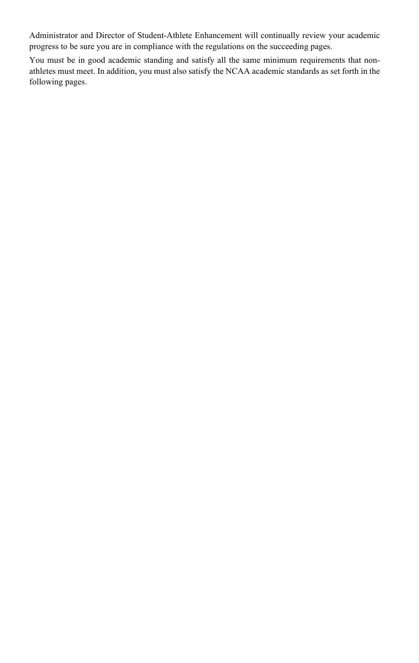Administrator and Director of Student-Athlete Enhancement will continually review your academic progress to be sure you are in compliance with the regulations on the succeeding pages.

You must be in good academic standing and satisfy all the same minimum requirements that nonathletes must meet. In addition, you must also satisfy the NCAA academic standards as set forth in the following pages.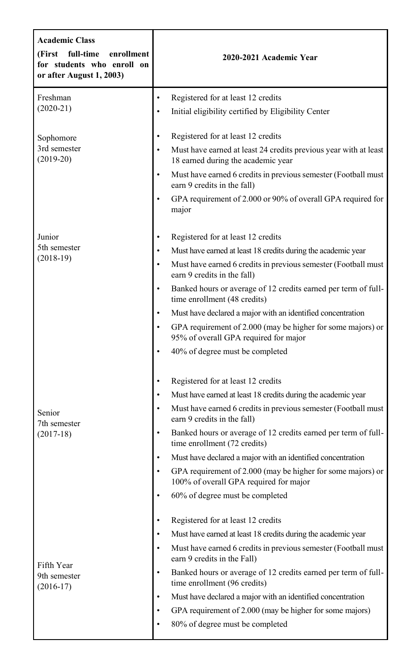| <b>Academic Class</b><br>(First<br>full-time<br>enrollment<br>for students who enroll on<br>or after August 1, 2003) | 2020-2021 Academic Year                                                                                             |
|----------------------------------------------------------------------------------------------------------------------|---------------------------------------------------------------------------------------------------------------------|
| Freshman                                                                                                             | $\bullet$<br>Registered for at least 12 credits                                                                     |
| $(2020-21)$                                                                                                          | Initial eligibility certified by Eligibility Center<br>$\bullet$                                                    |
| Sophomore                                                                                                            | Registered for at least 12 credits<br>$\bullet$                                                                     |
| 3rd semester<br>$(2019-20)$                                                                                          | Must have earned at least 24 credits previous year with at least<br>$\bullet$<br>18 earned during the academic year |
|                                                                                                                      | Must have earned 6 credits in previous semester (Football must<br>$\bullet$<br>earn 9 credits in the fall)          |
|                                                                                                                      | $\bullet$<br>GPA requirement of 2.000 or 90% of overall GPA required for<br>major                                   |
| Junior                                                                                                               | Registered for at least 12 credits<br>$\bullet$                                                                     |
| 5th semester<br>$(2018-19)$                                                                                          | Must have earned at least 18 credits during the academic year<br>$\bullet$                                          |
|                                                                                                                      | Must have earned 6 credits in previous semester (Football must<br>$\bullet$<br>earn 9 credits in the fall)          |
|                                                                                                                      | Banked hours or average of 12 credits earned per term of full-<br>$\bullet$<br>time enrollment (48 credits)         |
|                                                                                                                      | Must have declared a major with an identified concentration<br>$\bullet$                                            |
|                                                                                                                      | GPA requirement of 2.000 (may be higher for some majors) or<br>$\bullet$<br>95% of overall GPA required for major   |
|                                                                                                                      | 40% of degree must be completed<br>$\bullet$                                                                        |
|                                                                                                                      | Registered for at least 12 credits<br>$\bullet$                                                                     |
|                                                                                                                      | Must have earned at least 18 credits during the academic year<br>$\bullet$                                          |
| Senior<br>7th semester                                                                                               | Must have earned 6 credits in previous semester (Football must<br>$\bullet$<br>earn 9 credits in the fall)          |
| $(2017-18)$                                                                                                          | $\bullet$<br>Banked hours or average of 12 credits earned per term of full-<br>time enrollment (72 credits)         |
|                                                                                                                      | Must have declared a major with an identified concentration<br>$\bullet$                                            |
|                                                                                                                      | GPA requirement of 2.000 (may be higher for some majors) or<br>$\bullet$<br>100% of overall GPA required for major  |
|                                                                                                                      | 60% of degree must be completed<br>$\bullet$                                                                        |
|                                                                                                                      | Registered for at least 12 credits                                                                                  |
|                                                                                                                      | Must have earned at least 18 credits during the academic year<br>$\bullet$                                          |
| Fifth Year                                                                                                           | Must have earned 6 credits in previous semester (Football must<br>$\bullet$<br>earn 9 credits in the Fall)          |
| 9th semester<br>$(2016-17)$                                                                                          | Banked hours or average of 12 credits earned per term of full-<br>$\bullet$<br>time enrollment (96 credits)         |
|                                                                                                                      | Must have declared a major with an identified concentration<br>$\bullet$                                            |
|                                                                                                                      | GPA requirement of 2.000 (may be higher for some majors)<br>٠                                                       |
|                                                                                                                      | 80% of degree must be completed<br>$\bullet$                                                                        |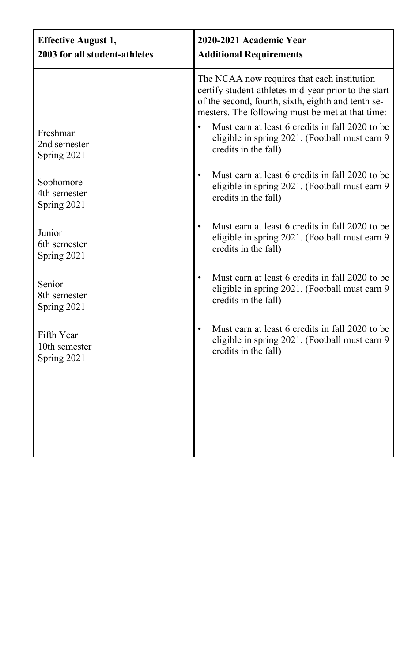| <b>Effective August 1,</b><br>2003 for all student-athletes | 2020-2021 Academic Year<br><b>Additional Requirements</b>                                                                                                                                                                                                                                                                                  |  |
|-------------------------------------------------------------|--------------------------------------------------------------------------------------------------------------------------------------------------------------------------------------------------------------------------------------------------------------------------------------------------------------------------------------------|--|
| Freshman<br>2nd semester<br>Spring 2021                     | The NCAA now requires that each institution<br>certify student-athletes mid-year prior to the start<br>of the second, fourth, sixth, eighth and tenth se-<br>mesters. The following must be met at that time:<br>Must earn at least 6 credits in fall 2020 to be<br>eligible in spring 2021. (Football must earn 9<br>credits in the fall) |  |
| Sophomore<br>4th semester<br>Spring 2021                    | Must earn at least 6 credits in fall 2020 to be<br>$\bullet$<br>eligible in spring 2021. (Football must earn 9<br>credits in the fall)                                                                                                                                                                                                     |  |
| Junior<br>6th semester<br>Spring 2021                       | Must earn at least 6 credits in fall 2020 to be<br>$\bullet$<br>eligible in spring 2021. (Football must earn 9<br>credits in the fall)                                                                                                                                                                                                     |  |
| Senior<br>8th semester<br>Spring 2021                       | Must earn at least 6 credits in fall 2020 to be<br>$\bullet$<br>eligible in spring 2021. (Football must earn 9<br>credits in the fall)                                                                                                                                                                                                     |  |
| Fifth Year<br>10th semester<br>Spring 2021                  | Must earn at least 6 credits in fall 2020 to be<br>$\bullet$<br>eligible in spring 2021. (Football must earn 9<br>credits in the fall)                                                                                                                                                                                                     |  |
|                                                             |                                                                                                                                                                                                                                                                                                                                            |  |
|                                                             |                                                                                                                                                                                                                                                                                                                                            |  |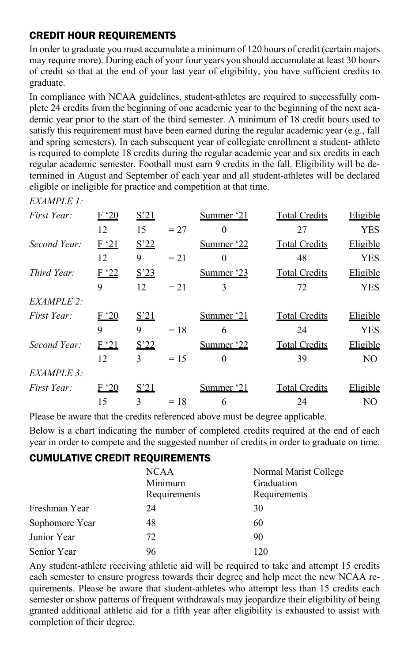#### CREDIT HOUR REQUIREMENTS

*EXAMPLE 1:*

In order to graduate you must accumulate a minimum of 120 hours of credit (certain majors may require more). During each of your four years you should accumulate at least 30 hours of credit so that at the end of your last year of eligibility, you have sufficient credits to graduate.

In compliance with NCAA guidelines, student-athletes are required to successfully complete 24 credits from the beginning of one academic year to the beginning of the next academic year prior to the start of the third semester. A minimum of 18 credit hours used to satisfy this requirement must have been earned during the regular academic year (e.g., fall and spring semesters). In each subsequent year of collegiate enrollment a student- athlete is required to complete 18 credits during the regular academic year and six credits in each regular academic semester. Football must earn 9 credits in the fall. Eligibility will be determined in August and September of each year and all student-athletes will be declared eligible or ineligible for practice and competition at that time.

| шлин шт      |      |                 |        |            |                      |            |
|--------------|------|-----------------|--------|------------|----------------------|------------|
| First Year:  | F'20 | S <sup>21</sup> |        | Summer '21 | <b>Total Credits</b> | Eligible   |
|              | 12   | 15              | $= 27$ | $\Omega$   | 27                   | <b>YES</b> |
| Second Year: | F'21 | S'22            |        | Summer '22 | <b>Total Credits</b> | Eligible   |
|              | 12   | 9               | $= 21$ | $\Omega$   | 48                   | <b>YES</b> |
| Third Year:  | F'22 | S'23            |        | Summer '23 | <b>Total Credits</b> | Eligible   |
|              | 9    | 12              | $= 21$ | 3          | 72                   | <b>YES</b> |
| EXAMPLE 2:   |      |                 |        |            |                      |            |
| First Year:  | F'20 | S <sup>21</sup> |        | Summer '21 | <b>Total Credits</b> | Eligible   |
|              | 9    | 9               | $=18$  | 6          | 24                   | <b>YES</b> |
| Second Year: | F'21 | S <sup>22</sup> |        | Summer '22 | <b>Total Credits</b> | Eligible   |
|              | 12   | 3               | $= 15$ | $\Omega$   | 39                   | NO.        |
| EXAMPLE 3:   |      |                 |        |            |                      |            |
| First Year:  | F'20 | S <sup>21</sup> |        | Summer '21 | <b>Total Credits</b> | Eligible   |
|              | 15   | $\mathcal{L}$   | $=18$  | 6          | 24                   | NO.        |
|              |      |                 |        |            |                      |            |

Please be aware that the credits referenced above must be degree applicable.

Below is a chart indicating the number of completed credits required at the end of each year in order to compete and the suggested number of credits in order to graduate on time.

#### CUMULATIVE CREDIT REQUIREMENTS

|                | <b>NCAA</b><br>Minimum<br>Requirements | Normal Marist College<br>Graduation<br>Requirements |
|----------------|----------------------------------------|-----------------------------------------------------|
| Freshman Year  | 24                                     | 30                                                  |
| Sophomore Year | 48                                     | 60                                                  |
| Junior Year    | 72                                     | 90                                                  |
| Senior Year    | 96                                     | 120                                                 |

Any student-athlete receiving athletic aid will be required to take and attempt 15 credits each semester to ensure progress towards their degree and help meet the new NCAA requirements. Please be aware that student-athletes who attempt less than 15 credits each semester or show patterns of frequent withdrawals may jeopardize their eligibility of being granted additional athletic aid for a fifth year after eligibility is exhausted to assist with completion of their degree.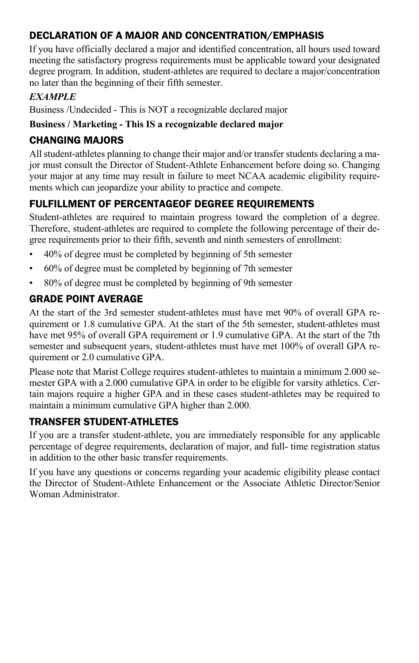### DECLARATION OF A MAJOR AND CONCENTRATION/EMPHASIS

If you have officially declared a major and identified concentration, all hours used toward meeting the satisfactory progress requirements must be applicable toward your designated degree program. In addition, student-athletes are required to declare a major/concentration no later than the beginning of their fifth semester.

#### *EXAMPLE*

Business /Undecided - This is NOT a recognizable declared major

#### **Business / Marketing - This IS a recognizable declared major**

#### CHANGING MAJORS

All student-athletes planning to change their major and/or transfer students declaring a major must consult the Director of Student-Athlete Enhancement before doing so. Changing your major at any time may result in failure to meet NCAA academic eligibility requirements which can jeopardize your ability to practice and compete.

# FULFILLMENT OF PERCENTAGEOF DEGREE REQUIREMENTS

Student-athletes are required to maintain progress toward the completion of a degree. Therefore, student-athletes are required to complete the following percentage of their degree requirements prior to their fifth, seventh and ninth semesters of enrollment:

- 40% of degree must be completed by beginning of 5th semester
- 60% of degree must be completed by beginning of 7th semester
- 80% of degree must be completed by beginning of 9th semester

## GRADE POINT AVERAGE

At the start of the 3rd semester student-athletes must have met 90% of overall GPA requirement or 1.8 cumulative GPA. At the start of the 5th semester, student-athletes must have met 95% of overall GPA requirement or 1.9 cumulative GPA. At the start of the 7th semester and subsequent years, student-athletes must have met 100% of overall GPA requirement or 2.0 cumulative GPA.

Please note that Marist College requires student-athletes to maintain a minimum 2.000 semester GPA with a 2.000 cumulative GPA in order to be eligible for varsity athletics. Certain majors require a higher GPA and in these cases student-athletes may be required to maintain a minimum cumulative GPA higher than 2.000.

### TRANSFER STUDENT-ATHLETES

If you are a transfer student-athlete, you are immediately responsible for any applicable percentage of degree requirements, declaration of major, and full- time registration status in addition to the other basic transfer requirements.

If you have any questions or concerns regarding your academic eligibility please contact the Director of Student-Athlete Enhancement or the Associate Athletic Director/Senior Woman Administrator.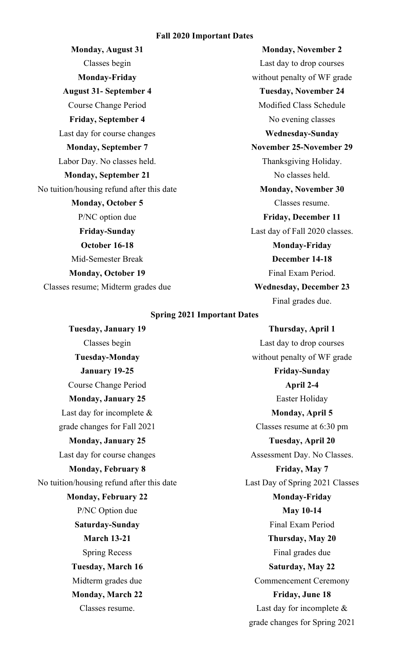#### **Fall 2020 Important Dates**

Classes begin Last day to drop courses **August 31- September 4 Tuesday, November 24** Course Change Period Modified Class Schedule **Friday, September 4** No evening classes Last day for course changes **Wednesday-Sunday Monday, September 7 November 25-November 29** Labor Day. No classes held. Thanksgiving Holiday. **Monday, September 21** No classes held. No tuition/housing refund after this date **Monday, November 30 Monday, October 5** Classes resume. P/NC option due **Friday, December 11 October 16-18 Monday-Friday** Mid-Semester Break **December 14-18 Monday, October 19** Final Exam Period. Classes resume; Midterm grades due **Wednesday, December 23**

**Monday, August 31 Monday, November 2 Monday-Friday** without penalty of WF grade **Friday-Sunday** Last day of Fall 2020 classes. Final grades due.

#### **Spring 2021 Important Dates**

**Tuesday, January 19 Thursday, April 1** Course Change Period **April 2-4 Monday, January 25** Easter Holiday Last day for incomplete & **Monday, April 5** grade changes for Fall 2021 Classes resume at 6:30 pm **Monday, January 25 Tuesday, April 20 Monday, February 8 Friday, May 7 Monday, February 22 Monday-Friday** P/NC Option due **May 10-14 Saturday-Sunday** Final Exam Period **Tuesday, March 16 Saturday, May 22 Monday, March 22 Friday, June 18**

Classes begin Last day to drop courses **Tuesday-Monday** without penalty of WF grade **January 19-25 Friday-Sunday** Last day for course changes Assessment Day. No Classes. No tuition/housing refund after this date Last Day of Spring 2021 Classes **March 13-21 Thursday, May 20** Spring Recess Final grades due Midterm grades due Commencement Ceremony Classes resume. Last day for incomplete & grade changes for Spring 2021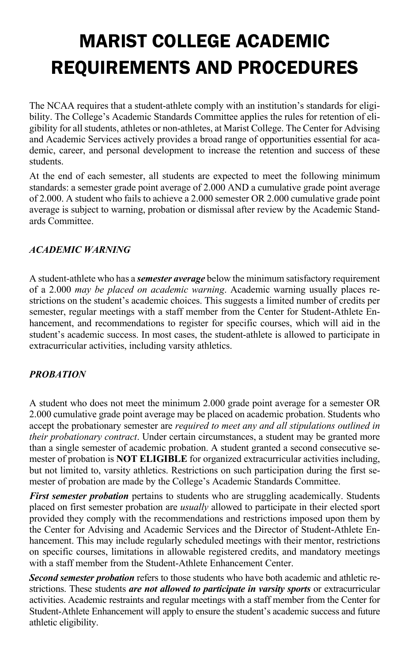# MARIST COLLEGE ACADEMIC REQUIREMENTS AND PROCEDURES

The NCAA requires that a student-athlete comply with an institution's standards for eligibility. The College's Academic Standards Committee applies the rules for retention of eligibility for all students, athletes or non-athletes, at Marist College. The Center for Advising and Academic Services actively provides a broad range of opportunities essential for academic, career, and personal development to increase the retention and success of these students.

At the end of each semester, all students are expected to meet the following minimum standards: a semester grade point average of 2.000 AND a cumulative grade point average of 2.000. A student who fails to achieve a 2.000 semester OR 2.000 cumulative grade point average is subject to warning, probation or dismissal after review by the Academic Standards Committee.

#### *ACADEMIC WARNING*

A student-athlete who has a *semester average* below the minimum satisfactory requirement of a 2.000 *may be placed on academic warning*. Academic warning usually places restrictions on the student's academic choices. This suggests a limited number of credits per semester, regular meetings with a staff member from the Center for Student-Athlete Enhancement, and recommendations to register for specific courses, which will aid in the student's academic success. In most cases, the student-athlete is allowed to participate in extracurricular activities, including varsity athletics.

#### *PROBATION*

A student who does not meet the minimum 2.000 grade point average for a semester OR 2.000 cumulative grade point average may be placed on academic probation. Students who accept the probationary semester are *required to meet any and all stipulations outlined in their probationary contract*. Under certain circumstances, a student may be granted more than a single semester of academic probation. A student granted a second consecutive semester of probation is **NOT ELIGIBLE** for organized extracurricular activities including, but not limited to, varsity athletics. Restrictions on such participation during the first semester of probation are made by the College's Academic Standards Committee.

*First semester probation* pertains to students who are struggling academically. Students placed on first semester probation are *usually* allowed to participate in their elected sport provided they comply with the recommendations and restrictions imposed upon them by the Center for Advising and Academic Services and the Director of Student-Athlete Enhancement. This may include regularly scheduled meetings with their mentor, restrictions on specific courses, limitations in allowable registered credits, and mandatory meetings with a staff member from the Student-Athlete Enhancement Center.

*Second semester probation* refers to those students who have both academic and athletic restrictions. These students *are not allowed to participate in varsity sports* or extracurricular activities. Academic restraints and regular meetings with a staff member from the Center for Student-Athlete Enhancement will apply to ensure the student's academic success and future athletic eligibility.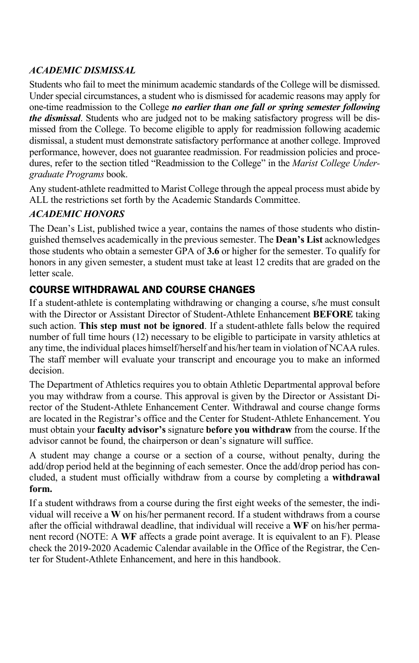#### *ACADEMIC DISMISSAL*

Students who fail to meet the minimum academic standards of the College will be dismissed. Under special circumstances, a student who is dismissed for academic reasons may apply for one-time readmission to the College *no earlier than one fall or spring semester following the dismissal*. Students who are judged not to be making satisfactory progress will be dismissed from the College. To become eligible to apply for readmission following academic dismissal, a student must demonstrate satisfactory performance at another college. Improved performance, however, does not guarantee readmission. For readmission policies and procedures, refer to the section titled "Readmission to the College" in the *Marist College Undergraduate Programs* book.

Any student-athlete readmitted to Marist College through the appeal process must abide by ALL the restrictions set forth by the Academic Standards Committee.

#### *ACADEMIC HONORS*

The Dean's List, published twice a year, contains the names of those students who distinguished themselves academically in the previous semester. The **Dean's List** acknowledges those students who obtain a semester GPA of **3.6** or higher for the semester. To qualify for honors in any given semester, a student must take at least 12 credits that are graded on the letter scale.

## COURSE WITHDRAWAL AND COURSE CHANGES

If a student-athlete is contemplating withdrawing or changing a course, s/he must consult with the Director or Assistant Director of Student-Athlete Enhancement **BEFORE** taking such action. **This step must not be ignored**. If a student-athlete falls below the required number of full time hours (12) necessary to be eligible to participate in varsity athletics at any time, the individual places himself/herself and his/her team in violation of NCAA rules. The staff member will evaluate your transcript and encourage you to make an informed decision.

The Department of Athletics requires you to obtain Athletic Departmental approval before you may withdraw from a course. This approval is given by the Director or Assistant Director of the Student-Athlete Enhancement Center. Withdrawal and course change forms are located in the Registrar's office and the Center for Student-Athlete Enhancement. You must obtain your **faculty advisor's** signature **before you withdraw** from the course. If the advisor cannot be found, the chairperson or dean's signature will suffice.

A student may change a course or a section of a course, without penalty, during the add/drop period held at the beginning of each semester. Once the add/drop period has concluded, a student must officially withdraw from a course by completing a **withdrawal form.**

If a student withdraws from a course during the first eight weeks of the semester, the individual will receive a **W** on his/her permanent record. If a student withdraws from a course after the official withdrawal deadline, that individual will receive a **WF** on his/her permanent record (NOTE: A **WF** affects a grade point average. It is equivalent to an F). Please check the 2019-2020 Academic Calendar available in the Office of the Registrar, the Center for Student-Athlete Enhancement, and here in this handbook.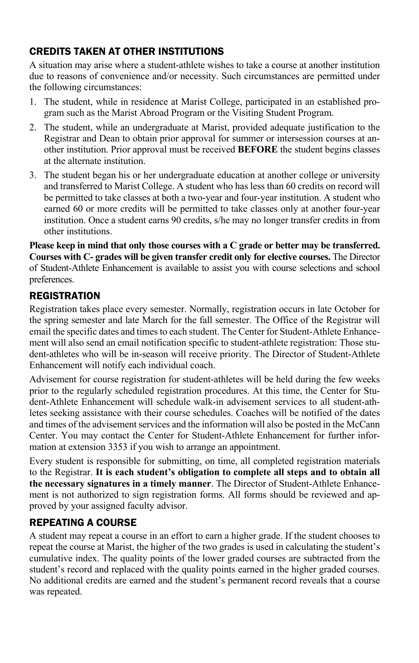# CREDITS TAKEN AT OTHER INSTITUTIONS

A situation may arise where a student-athlete wishes to take a course at another institution due to reasons of convenience and/or necessity. Such circumstances are permitted under the following circumstances:

- 1. The student, while in residence at Marist College, participated in an established program such as the Marist Abroad Program or the Visiting Student Program.
- 2. The student, while an undergraduate at Marist, provided adequate justification to the Registrar and Dean to obtain prior approval for summer or intersession courses at another institution. Prior approval must be received **BEFORE** the student begins classes at the alternate institution.
- 3. The student began his or her undergraduate education at another college or university and transferred to Marist College. A student who has less than 60 credits on record will be permitted to take classes at both a two-year and four-year institution. A student who earned 60 or more credits will be permitted to take classes only at another four-year institution. Once a student earns 90 credits, s/he may no longer transfer credits in from other institutions.

**Please keep in mind that only those courses with a C grade or better may be transferred. Courses with C- grades will be given transfer credit only for elective courses.** The Director of Student-Athlete Enhancement is available to assist you with course selections and school preferences.

#### **REGISTRATION**

Registration takes place every semester. Normally, registration occurs in late October for the spring semester and late March for the fall semester. The Office of the Registrar will email the specific dates and times to each student. The Center for Student-Athlete Enhancement will also send an email notification specific to student-athlete registration: Those student-athletes who will be in-season will receive priority. The Director of Student-Athlete Enhancement will notify each individual coach.

Advisement for course registration for student-athletes will be held during the few weeks prior to the regularly scheduled registration procedures. At this time, the Center for Student-Athlete Enhancement will schedule walk-in advisement services to all student-athletes seeking assistance with their course schedules. Coaches will be notified of the dates and times of the advisement services and the information will also be posted in the McCann Center. You may contact the Center for Student-Athlete Enhancement for further information at extension 3353 if you wish to arrange an appointment.

Every student is responsible for submitting, on time, all completed registration materials to the Registrar. **It is each student's obligation to complete all steps and to obtain all the necessary signatures in a timely manner**. The Director of Student-Athlete Enhancement is not authorized to sign registration forms. All forms should be reviewed and approved by your assigned faculty advisor.

#### REPEATING A COURSE

A student may repeat a course in an effort to earn a higher grade. If the student chooses to repeat the course at Marist, the higher of the two grades is used in calculating the student's cumulative index. The quality points of the lower graded courses are subtracted from the student's record and replaced with the quality points earned in the higher graded courses. No additional credits are earned and the student's permanent record reveals that a course was repeated.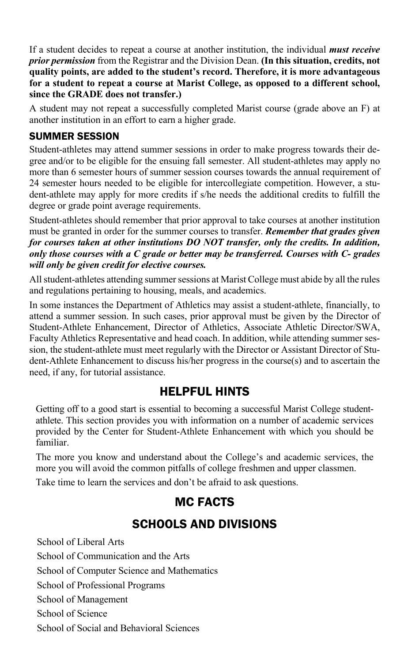If a student decides to repeat a course at another institution, the individual *must receive prior permission* from the Registrar and the Division Dean. **(In this situation, credits, not quality points, are added to the student's record. Therefore, it is more advantageous for a student to repeat a course at Marist College, as opposed to a different school, since the GRADE does not transfer.)**

A student may not repeat a successfully completed Marist course (grade above an F) at another institution in an effort to earn a higher grade.

#### SUMMER SESSION

Student-athletes may attend summer sessions in order to make progress towards their degree and/or to be eligible for the ensuing fall semester. All student-athletes may apply no more than 6 semester hours of summer session courses towards the annual requirement of 24 semester hours needed to be eligible for intercollegiate competition. However, a student-athlete may apply for more credits if s/he needs the additional credits to fulfill the degree or grade point average requirements.

Student-athletes should remember that prior approval to take courses at another institution must be granted in order for the summer courses to transfer. *Remember that grades given for courses taken at other institutions DO NOT transfer, only the credits. In addition, only those courses with a C grade or better may be transferred. Courses with C- grades will only be given credit for elective courses.*

All student-athletes attending summer sessions at Marist College must abide by all the rules and regulations pertaining to housing, meals, and academics.

In some instances the Department of Athletics may assist a student-athlete, financially, to attend a summer session. In such cases, prior approval must be given by the Director of Student-Athlete Enhancement, Director of Athletics, Associate Athletic Director/SWA, Faculty Athletics Representative and head coach. In addition, while attending summer session, the student-athlete must meet regularly with the Director or Assistant Director of Student-Athlete Enhancement to discuss his/her progress in the course(s) and to ascertain the need, if any, for tutorial assistance.

# HELPFUL HINTS

Getting off to a good start is essential to becoming a successful Marist College studentathlete. This section provides you with information on a number of academic services provided by the Center for Student-Athlete Enhancement with which you should be familiar.

The more you know and understand about the College's and academic services, the more you will avoid the common pitfalls of college freshmen and upper classmen.

Take time to learn the services and don't be afraid to ask questions.

# MC FACTS

# SCHOOLS AND DIVISIONS

School of Liberal Arts School of Communication and the Arts School of Computer Science and Mathematics School of Professional Programs School of Management School of Science School of Social and Behavioral Sciences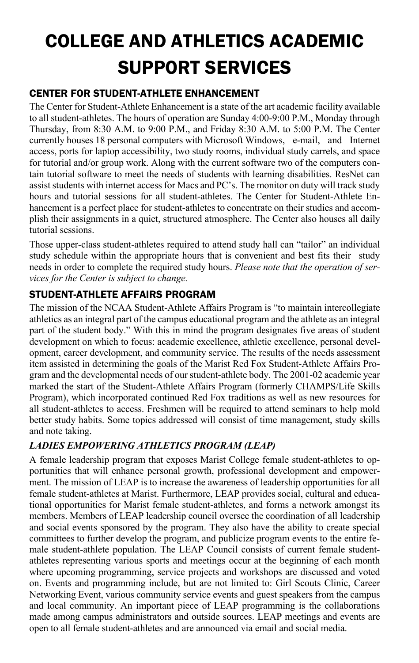# COLLEGE AND ATHLETICS ACADEMIC SUPPORT SERVICES

# CENTER FOR STUDENT-ATHLETE ENHANCEMENT

The Center for Student-Athlete Enhancement is a state of the art academic facility available to all student-athletes. The hours of operation are Sunday 4:00-9:00 P.M., Monday through Thursday, from 8:30 A.M. to 9:00 P.M., and Friday 8:30 A.M. to 5:00 P.M. The Center currently houses 18 personal computers with Microsoft Windows, e-mail, and Internet access, ports for laptop accessibility, two study rooms, individual study carrels, and space for tutorial and/or group work. Along with the current software two of the computers contain tutorial software to meet the needs of students with learning disabilities. ResNet can assist students with internet access for Macs and PC's. The monitor on duty will track study hours and tutorial sessions for all student-athletes. The Center for Student-Athlete Enhancement is a perfect place for student-athletes to concentrate on their studies and accomplish their assignments in a quiet, structured atmosphere. The Center also houses all daily tutorial sessions.

Those upper-class student-athletes required to attend study hall can "tailor" an individual study schedule within the appropriate hours that is convenient and best fits their study needs in order to complete the required study hours. *Please note that the operation of services for the Center is subject to change.*

## STUDENT-ATHLETE AFFAIRS PROGRAM

The mission of the NCAA Student-Athlete Affairs Program is "to maintain intercollegiate athletics as an integral part of the campus educational program and the athlete as an integral part of the student body." With this in mind the program designates five areas of student development on which to focus: academic excellence, athletic excellence, personal development, career development, and community service. The results of the needs assessment item assisted in determining the goals of the Marist Red Fox Student-Athlete Affairs Program and the developmental needs of our student-athlete body. The 2001-02 academic year marked the start of the Student-Athlete Affairs Program (formerly CHAMPS/Life Skills Program), which incorporated continued Red Fox traditions as well as new resources for all student-athletes to access. Freshmen will be required to attend seminars to help mold better study habits. Some topics addressed will consist of time management, study skills and note taking.

### *LADIES EMPOWERING ATHLETICS PROGRAM (LEAP)*

A female leadership program that exposes Marist College female student-athletes to opportunities that will enhance personal growth, professional development and empowerment. The mission of LEAP is to increase the awareness of leadership opportunities for all female student-athletes at Marist. Furthermore, LEAP provides social, cultural and educational opportunities for Marist female student-athletes, and forms a network amongst its members. Members of LEAP leadership council oversee the coordination of all leadership and social events sponsored by the program. They also have the ability to create special committees to further develop the program, and publicize program events to the entire female student-athlete population. The LEAP Council consists of current female studentathletes representing various sports and meetings occur at the beginning of each month where upcoming programming, service projects and workshops are discussed and voted on. Events and programming include, but are not limited to: Girl Scouts Clinic, Career Networking Event, various community service events and guest speakers from the campus and local community. An important piece of LEAP programming is the collaborations made among campus administrators and outside sources. LEAP meetings and events are open to all female student-athletes and are announced via email and social media.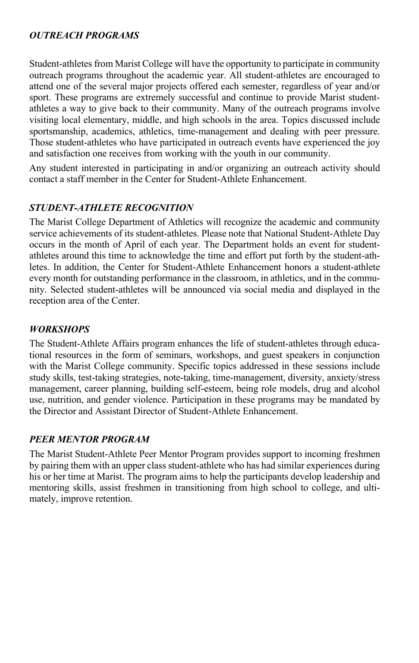#### *OUTREACH PROGRAMS*

Student-athletes from Marist College will have the opportunity to participate in community outreach programs throughout the academic year. All student-athletes are encouraged to attend one of the several major projects offered each semester, regardless of year and/or sport. These programs are extremely successful and continue to provide Marist studentathletes a way to give back to their community. Many of the outreach programs involve visiting local elementary, middle, and high schools in the area. Topics discussed include sportsmanship, academics, athletics, time-management and dealing with peer pressure. Those student-athletes who have participated in outreach events have experienced the joy and satisfaction one receives from working with the youth in our community.

Any student interested in participating in and/or organizing an outreach activity should contact a staff member in the Center for Student-Athlete Enhancement.

#### *STUDENT-ATHLETE RECOGNITION*

The Marist College Department of Athletics will recognize the academic and community service achievements of its student-athletes. Please note that National Student-Athlete Day occurs in the month of April of each year. The Department holds an event for studentathletes around this time to acknowledge the time and effort put forth by the student-athletes. In addition, the Center for Student-Athlete Enhancement honors a student-athlete every month for outstanding performance in the classroom, in athletics, and in the community. Selected student-athletes will be announced via social media and displayed in the reception area of the Center.

#### *WORKSHOPS*

The Student-Athlete Affairs program enhances the life of student-athletes through educational resources in the form of seminars, workshops, and guest speakers in conjunction with the Marist College community. Specific topics addressed in these sessions include study skills, test-taking strategies, note-taking, time-management, diversity, anxiety/stress management, career planning, building self-esteem, being role models, drug and alcohol use, nutrition, and gender violence. Participation in these programs may be mandated by the Director and Assistant Director of Student-Athlete Enhancement.

#### *PEER MENTOR PROGRAM*

The Marist Student-Athlete Peer Mentor Program provides support to incoming freshmen by pairing them with an upper class student-athlete who has had similar experiences during his or her time at Marist. The program aims to help the participants develop leadership and mentoring skills, assist freshmen in transitioning from high school to college, and ultimately, improve retention.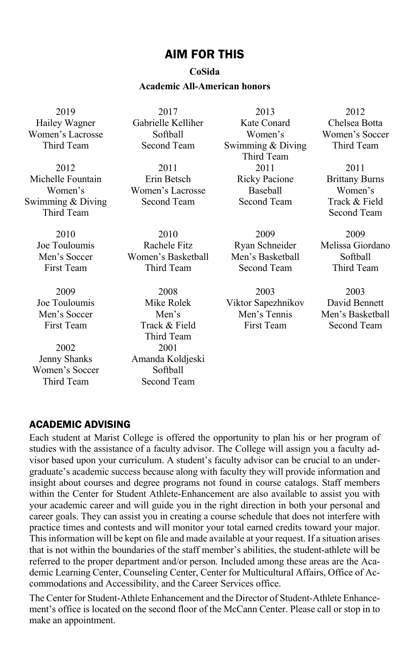#### AIM FOR THIS

#### **CoSida**

#### **Academic All-American honors**

2019 Hailey Wagner Women's Lacrosse Third Team

2012 Michelle Fountain Women's Swimming & Diving Third Team

> 2010 Joe Touloumis Men's Soccer First Team

> 2009 Joe Touloumis Men's Soccer First Team

2002 Jenny Shanks Women's Soccer Third Team

2017 Gabrielle Kelliher Softball Second Team

2011 Erin Betsch Women's Lacrosse Second Team

2010 Rachele Fitz Women's Basketball Third Team

2008 Mike Rolek Men's Track & Field Third Team 2001 Amanda Koldjeski Softball Second Team

2013 Kate Conard Women's Swimming & Diving Third Team 2011 Ricky Pacione Baseball Second Team

2009 Ryan Schneider Men's Basketball Second Team

2003 Viktor Sapezhnikov Men's Tennis First Team

2012 Chelsea Botta Women's Soccer Third Team

2011 Brittany Burns Women's Track & Field Second Team

2009 Melissa Giordano Softball Third Team

2003 David Bennett Men's Basketball Second Team

#### ACADEMIC ADVISING

Each student at Marist College is offered the opportunity to plan his or her program of studies with the assistance of a faculty advisor. The College will assign you a faculty advisor based upon your curriculum. A student's faculty advisor can be crucial to an undergraduate's academic success because along with faculty they will provide information and insight about courses and degree programs not found in course catalogs. Staff members within the Center for Student Athlete-Enhancement are also available to assist you with your academic career and will guide you in the right direction in both your personal and career goals. They can assist you in creating a course schedule that does not interfere with practice times and contests and will monitor your total earned credits toward your major. This information will be kept on file and made available at your request. If a situation arises that is not within the boundaries of the staff member's abilities, the student-athlete will be referred to the proper department and/or person. Included among these areas are the Academic Learning Center, Counseling Center, Center for Multicultural Affairs, Office of Accommodations and Accessibility, and the Career Services office.

The Center for Student-Athlete Enhancement and the Director of Student-Athlete Enhancement's office is located on the second floor of the McCann Center. Please call or stop in to make an appointment.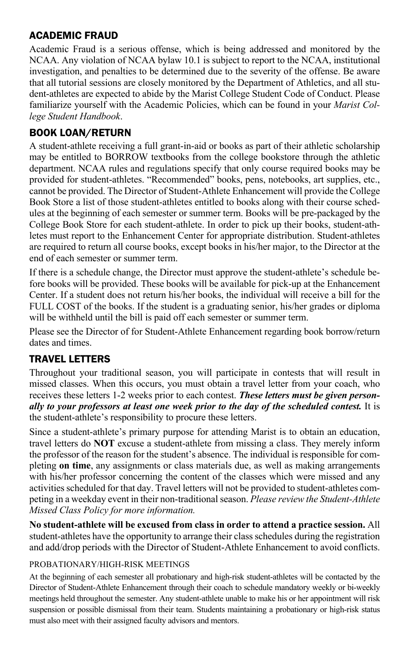#### ACADEMIC FRAUD

Academic Fraud is a serious offense, which is being addressed and monitored by the NCAA. Any violation of NCAA bylaw 10.1 is subject to report to the NCAA, institutional investigation, and penalties to be determined due to the severity of the offense. Be aware that all tutorial sessions are closely monitored by the Department of Athletics, and all student-athletes are expected to abide by the Marist College Student Code of Conduct. Please familiarize yourself with the Academic Policies, which can be found in your *Marist College Student Handbook*.

#### BOOK LOAN/RETURN

A student-athlete receiving a full grant-in-aid or books as part of their athletic scholarship may be entitled to BORROW textbooks from the college bookstore through the athletic department. NCAA rules and regulations specify that only course required books may be provided for student-athletes. "Recommended" books, pens, notebooks, art supplies, etc., cannot be provided. The Director of Student-Athlete Enhancement will provide the College Book Store a list of those student-athletes entitled to books along with their course schedules at the beginning of each semester or summer term. Books will be pre-packaged by the College Book Store for each student-athlete. In order to pick up their books, student-athletes must report to the Enhancement Center for appropriate distribution. Student-athletes are required to return all course books, except books in his/her major, to the Director at the end of each semester or summer term.

If there is a schedule change, the Director must approve the student-athlete's schedule before books will be provided. These books will be available for pick-up at the Enhancement Center. If a student does not return his/her books, the individual will receive a bill for the FULL COST of the books. If the student is a graduating senior, his/her grades or diploma will be withheld until the bill is paid off each semester or summer term.

Please see the Director of for Student-Athlete Enhancement regarding book borrow/return dates and times.

#### TRAVEL LETTERS

Throughout your traditional season, you will participate in contests that will result in missed classes. When this occurs, you must obtain a travel letter from your coach, who receives these letters 1-2 weeks prior to each contest. *These letters must be given personally to your professors at least one week prior to the day of the scheduled contest.* It is the student-athlete's responsibility to procure these letters.

Since a student-athlete's primary purpose for attending Marist is to obtain an education, travel letters do **NOT** excuse a student-athlete from missing a class. They merely inform the professor of the reason for the student's absence. The individual is responsible for completing **on time**, any assignments or class materials due, as well as making arrangements with his/her professor concerning the content of the classes which were missed and any activities scheduled for that day. Travel letters will not be provided to student-athletes competing in a weekday event in their non-traditional season. *Please review the Student-Athlete Missed Class Policy for more information.*

**No student-athlete will be excused from class in order to attend a practice session.** All student-athletes have the opportunity to arrange their class schedules during the registration and add/drop periods with the Director of Student-Athlete Enhancement to avoid conflicts.

#### PROBATIONARY/HIGH-RISK MEETINGS

At the beginning of each semester all probationary and high-risk student-athletes will be contacted by the Director of Student-Athlete Enhancement through their coach to schedule mandatory weekly or bi-weekly meetings held throughout the semester. Any student-athlete unable to make his or her appointment will risk suspension or possible dismissal from their team. Students maintaining a probationary or high-risk status must also meet with their assigned faculty advisors and mentors.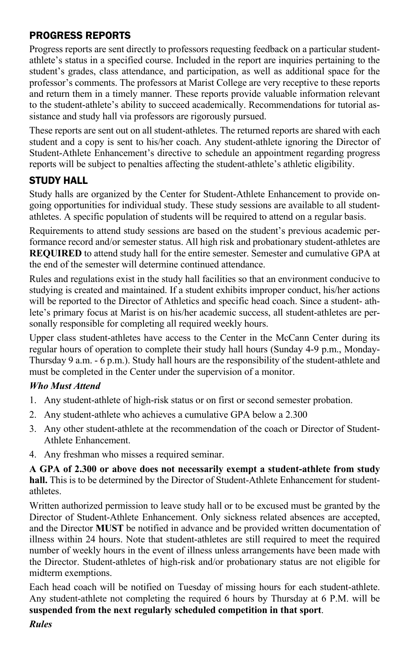#### PROGRESS REPORTS

Progress reports are sent directly to professors requesting feedback on a particular studentathlete's status in a specified course. Included in the report are inquiries pertaining to the student's grades, class attendance, and participation, as well as additional space for the professor's comments. The professors at Marist College are very receptive to these reports and return them in a timely manner. These reports provide valuable information relevant to the student-athlete's ability to succeed academically. Recommendations for tutorial assistance and study hall via professors are rigorously pursued.

These reports are sent out on all student-athletes. The returned reports are shared with each student and a copy is sent to his/her coach. Any student-athlete ignoring the Director of Student-Athlete Enhancement's directive to schedule an appointment regarding progress reports will be subject to penalties affecting the student-athlete's athletic eligibility.

## STUDY HALL

Study halls are organized by the Center for Student-Athlete Enhancement to provide ongoing opportunities for individual study. These study sessions are available to all studentathletes. A specific population of students will be required to attend on a regular basis.

Requirements to attend study sessions are based on the student's previous academic performance record and/or semester status. All high risk and probationary student-athletes are **REQUIRED** to attend study hall for the entire semester. Semester and cumulative GPA at the end of the semester will determine continued attendance.

Rules and regulations exist in the study hall facilities so that an environment conducive to studying is created and maintained. If a student exhibits improper conduct, his/her actions will be reported to the Director of Athletics and specific head coach. Since a student- athlete's primary focus at Marist is on his/her academic success, all student-athletes are personally responsible for completing all required weekly hours.

Upper class student-athletes have access to the Center in the McCann Center during its regular hours of operation to complete their study hall hours (Sunday 4-9 p.m., Monday-Thursday 9 a.m. - 6 p.m.). Study hall hours are the responsibility of the student-athlete and must be completed in the Center under the supervision of a monitor.

#### *Who Must Attend*

- 1. Any student-athlete of high-risk status or on first or second semester probation.
- 2. Any student-athlete who achieves a cumulative GPA below a 2.300
- 3. Any other student-athlete at the recommendation of the coach or Director of Student-Athlete Enhancement.
- 4. Any freshman who misses a required seminar.

**A GPA of 2.300 or above does not necessarily exempt a student-athlete from study hall.** This is to be determined by the Director of Student-Athlete Enhancement for studentathletes.

Written authorized permission to leave study hall or to be excused must be granted by the Director of Student-Athlete Enhancement. Only sickness related absences are accepted, and the Director **MUST** be notified in advance and be provided written documentation of illness within 24 hours. Note that student-athletes are still required to meet the required number of weekly hours in the event of illness unless arrangements have been made with the Director. Student-athletes of high-risk and/or probationary status are not eligible for midterm exemptions.

Each head coach will be notified on Tuesday of missing hours for each student-athlete. Any student-athlete not completing the required 6 hours by Thursday at 6 P.M. will be **suspended from the next regularly scheduled competition in that sport**.

*Rules*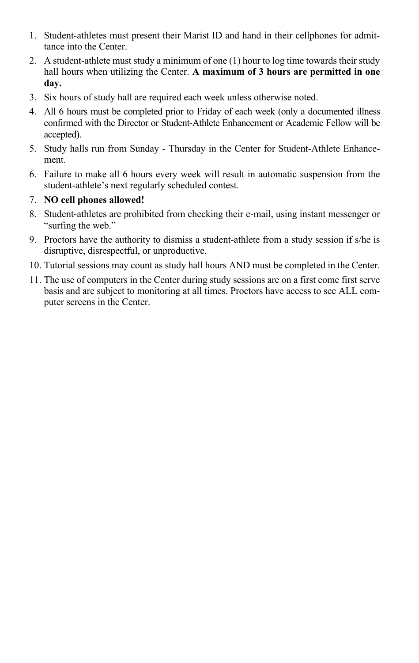- 1. Student-athletes must present their Marist ID and hand in their cellphones for admittance into the Center.
- 2. A student-athlete must study a minimum of one (1) hour to log time towards their study hall hours when utilizing the Center. **A maximum of 3 hours are permitted in one day.**
- 3. Six hours of study hall are required each week unless otherwise noted.
- 4. All 6 hours must be completed prior to Friday of each week (only a documented illness confirmed with the Director or Student-Athlete Enhancement or Academic Fellow will be accepted).
- 5. Study halls run from Sunday Thursday in the Center for Student-Athlete Enhancement.
- 6. Failure to make all 6 hours every week will result in automatic suspension from the student-athlete's next regularly scheduled contest.
- 7. **NO cell phones allowed!**
- 8. Student-athletes are prohibited from checking their e-mail, using instant messenger or "surfing the web."
- 9. Proctors have the authority to dismiss a student-athlete from a study session if s/he is disruptive, disrespectful, or unproductive.
- 10. Tutorial sessions may count as study hall hours AND must be completed in the Center.
- 11. The use of computers in the Center during study sessions are on a first come first serve basis and are subject to monitoring at all times. Proctors have access to see ALL computer screens in the Center.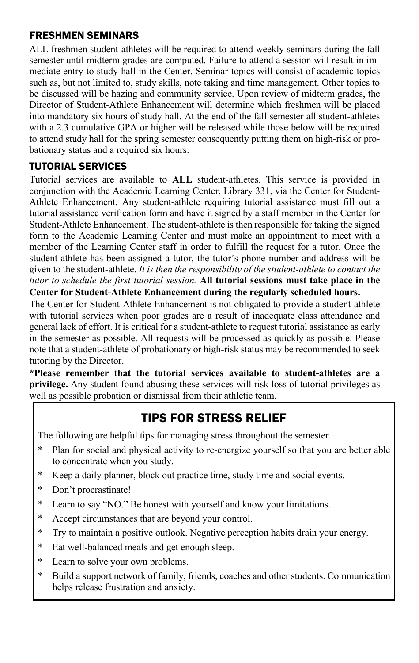#### FRESHMEN SEMINARS

ALL freshmen student-athletes will be required to attend weekly seminars during the fall semester until midterm grades are computed. Failure to attend a session will result in immediate entry to study hall in the Center. Seminar topics will consist of academic topics such as, but not limited to, study skills, note taking and time management. Other topics to be discussed will be hazing and community service. Upon review of midterm grades, the Director of Student-Athlete Enhancement will determine which freshmen will be placed into mandatory six hours of study hall. At the end of the fall semester all student-athletes with a 2.3 cumulative GPA or higher will be released while those below will be required to attend study hall for the spring semester consequently putting them on high-risk or probationary status and a required six hours.

# TUTORIAL SERVICES

Tutorial services are available to **ALL** student-athletes. This service is provided in conjunction with the Academic Learning Center, Library 331, via the Center for Student-Athlete Enhancement. Any student-athlete requiring tutorial assistance must fill out a tutorial assistance verification form and have it signed by a staff member in the Center for Student-Athlete Enhancement. The student-athlete is then responsible for taking the signed form to the Academic Learning Center and must make an appointment to meet with a member of the Learning Center staff in order to fulfill the request for a tutor. Once the student-athlete has been assigned a tutor, the tutor's phone number and address will be given to the student-athlete. *It is then the responsibility of the student-athlete to contact the tutor to schedule the first tutorial session.* **All tutorial sessions must take place in the Center for Student-Athlete Enhancement during the regularly scheduled hours.**

The Center for Student-Athlete Enhancement is not obligated to provide a student-athlete with tutorial services when poor grades are a result of inadequate class attendance and general lack of effort. It is critical for a student-athlete to request tutorial assistance as early in the semester as possible. All requests will be processed as quickly as possible. Please note that a student-athlete of probationary or high-risk status may be recommended to seek tutoring by the Director.

**\*Please remember that the tutorial services available to student-athletes are a privilege.** Any student found abusing these services will risk loss of tutorial privileges as well as possible probation or dismissal from their athletic team.

# TIPS FOR STRESS RELIEF

The following are helpful tips for managing stress throughout the semester.

- Plan for social and physical activity to re-energize yourself so that you are better able to concentrate when you study.
- \* Keep a daily planner, block out practice time, study time and social events.
- Don't procrastinate!
- \* Learn to say "NO." Be honest with yourself and know your limitations.
- Accept circumstances that are beyond your control.
- Try to maintain a positive outlook. Negative perception habits drain your energy.
- Eat well-balanced meals and get enough sleep.
- \* Learn to solve your own problems.
- \* Build a support network of family, friends, coaches and other students. Communication helps release frustration and anxiety.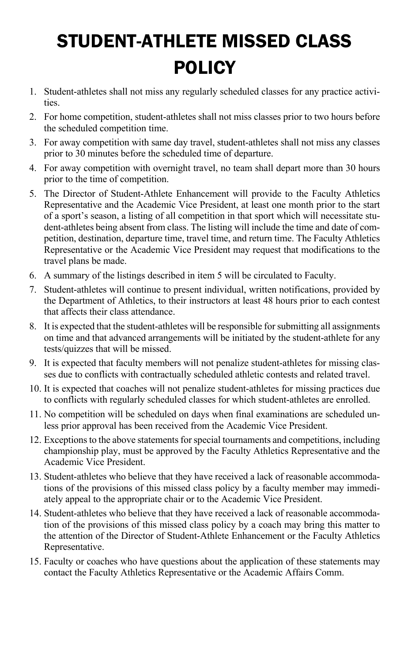# STUDENT-ATHLETE MISSED CLASS POLICY

- 1. Student-athletes shall not miss any regularly scheduled classes for any practice activities.
- 2. For home competition, student-athletes shall not miss classes prior to two hours before the scheduled competition time.
- 3. For away competition with same day travel, student-athletes shall not miss any classes prior to 30 minutes before the scheduled time of departure.
- 4. For away competition with overnight travel, no team shall depart more than 30 hours prior to the time of competition.
- 5. The Director of Student-Athlete Enhancement will provide to the Faculty Athletics Representative and the Academic Vice President, at least one month prior to the start of a sport's season, a listing of all competition in that sport which will necessitate student-athletes being absent from class. The listing will include the time and date of competition, destination, departure time, travel time, and return time. The Faculty Athletics Representative or the Academic Vice President may request that modifications to the travel plans be made.
- 6. A summary of the listings described in item 5 will be circulated to Faculty.
- 7. Student-athletes will continue to present individual, written notifications, provided by the Department of Athletics, to their instructors at least 48 hours prior to each contest that affects their class attendance.
- 8. It is expected that the student-athletes will be responsible for submitting all assignments on time and that advanced arrangements will be initiated by the student-athlete for any tests/quizzes that will be missed.
- 9. It is expected that faculty members will not penalize student-athletes for missing classes due to conflicts with contractually scheduled athletic contests and related travel.
- 10. It is expected that coaches will not penalize student-athletes for missing practices due to conflicts with regularly scheduled classes for which student-athletes are enrolled.
- 11. No competition will be scheduled on days when final examinations are scheduled unless prior approval has been received from the Academic Vice President.
- 12. Exceptions to the above statements for special tournaments and competitions, including championship play, must be approved by the Faculty Athletics Representative and the Academic Vice President.
- 13. Student-athletes who believe that they have received a lack of reasonable accommodations of the provisions of this missed class policy by a faculty member may immediately appeal to the appropriate chair or to the Academic Vice President.
- 14. Student-athletes who believe that they have received a lack of reasonable accommodation of the provisions of this missed class policy by a coach may bring this matter to the attention of the Director of Student-Athlete Enhancement or the Faculty Athletics Representative.
- 15. Faculty or coaches who have questions about the application of these statements may contact the Faculty Athletics Representative or the Academic Affairs Comm.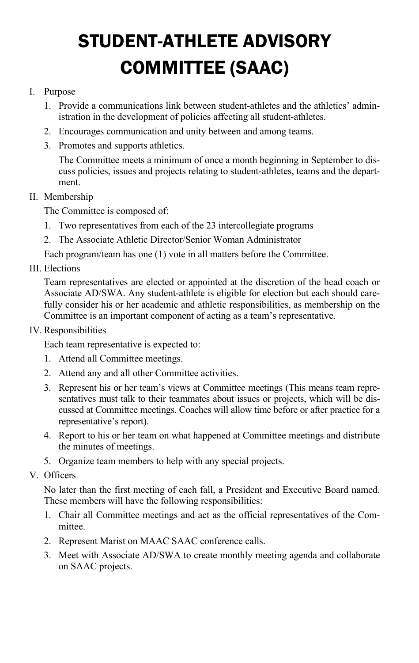# STUDENT-ATHLETE ADVISORY COMMITTEE (SAAC)

#### I. Purpose

- 1. Provide a communications link between student-athletes and the athletics' administration in the development of policies affecting all student-athletes.
- 2. Encourages communication and unity between and among teams.
- 3. Promotes and supports athletics.

The Committee meets a minimum of once a month beginning in September to discuss policies, issues and projects relating to student-athletes, teams and the department.

II. Membership

The Committee is composed of:

- 1. Two representatives from each of the 23 intercollegiate programs
- 2. The Associate Athletic Director/Senior Woman Administrator

Each program/team has one (1) vote in all matters before the Committee.

#### III. Elections

Team representatives are elected or appointed at the discretion of the head coach or Associate AD/SWA. Any student-athlete is eligible for election but each should carefully consider his or her academic and athletic responsibilities, as membership on the Committee is an important component of acting as a team's representative.

IV. Responsibilities

Each team representative is expected to:

- 1. Attend all Committee meetings.
- 2. Attend any and all other Committee activities.
- 3. Represent his or her team's views at Committee meetings (This means team representatives must talk to their teammates about issues or projects, which will be discussed at Committee meetings. Coaches will allow time before or after practice for a representative's report).
- 4. Report to his or her team on what happened at Committee meetings and distribute the minutes of meetings.
- 5. Organize team members to help with any special projects.
- V. Officers

No later than the first meeting of each fall, a President and Executive Board named. These members will have the following responsibilities:

- 1. Chair all Committee meetings and act as the official representatives of the Committee.
- 2. Represent Marist on MAAC SAAC conference calls.
- 3. Meet with Associate AD/SWA to create monthly meeting agenda and collaborate on SAAC projects.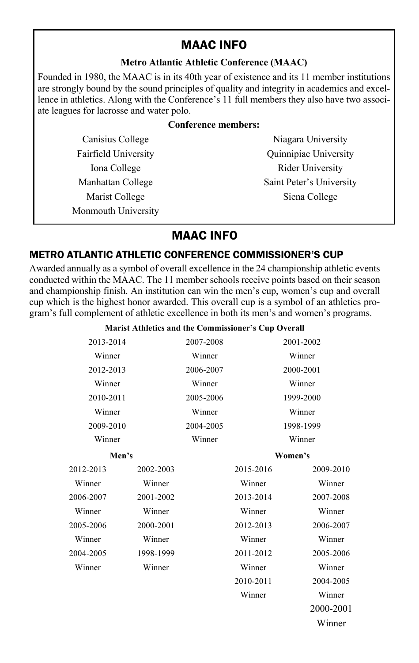# MAAC INFO

#### **Metro Atlantic Athletic Conference (MAAC)**

Founded in 1980, the MAAC is in its 40th year of existence and its 11 member institutions are strongly bound by the sound principles of quality and integrity in academics and excellence in athletics. Along with the Conference's 11 full members they also have two associate leagues for lacrosse and water polo.

#### **Conference members:**

Monmouth University

Canisius College Niagara University Fairfield University **Community** Quinnipiac University Iona College Rider University Manhattan College Saint Peter's University Marist College Siena College

# MAAC INFO

#### METRO ATLANTIC ATHLETIC CONFERENCE COMMISSIONER'S CUP

Awarded annually as a symbol of overall excellence in the 24 championship athletic events conducted within the MAAC. The 11 member schools receive points based on their season and championship finish. An institution can win the men's cup, women's cup and overall cup which is the highest honor awarded. This overall cup is a symbol of an athletics program's full complement of athletic excellence in both its men's and women's programs.

#### **Marist Athletics and the Commissioner's Cup Overall**

| 2013-2014 |           | 2007-2008 |           | 2001-2002 |
|-----------|-----------|-----------|-----------|-----------|
| Winner    |           | Winner    |           | Winner    |
| 2012-2013 |           | 2006-2007 |           | 2000-2001 |
| Winner    |           | Winner    |           | Winner    |
| 2010-2011 |           | 2005-2006 |           | 1999-2000 |
| Winner    |           | Winner    |           | Winner    |
| 2009-2010 |           | 2004-2005 |           | 1998-1999 |
| Winner    |           | Winner    |           | Winner    |
| Men's     |           |           |           | Women's   |
| 2012-2013 | 2002-2003 |           | 2015-2016 | 2009-2010 |
| Winner    | Winner    |           | Winner    | Winner    |
| 2006-2007 | 2001-2002 |           | 2013-2014 | 2007-2008 |
| Winner    | Winner    |           | Winner    | Winner    |
| 2005-2006 | 2000-2001 |           | 2012-2013 | 2006-2007 |
| Winner    | Winner    |           | Winner    | Winner    |
| 2004-2005 | 1998-1999 |           | 2011-2012 | 2005-2006 |
| Winner    | Winner    |           | Winner    | Winner    |
|           |           |           | 2010-2011 | 2004-2005 |
|           |           |           | Winner    | Winner    |
|           |           |           |           | 2000-2001 |
|           |           |           |           | Winner    |
|           |           |           |           |           |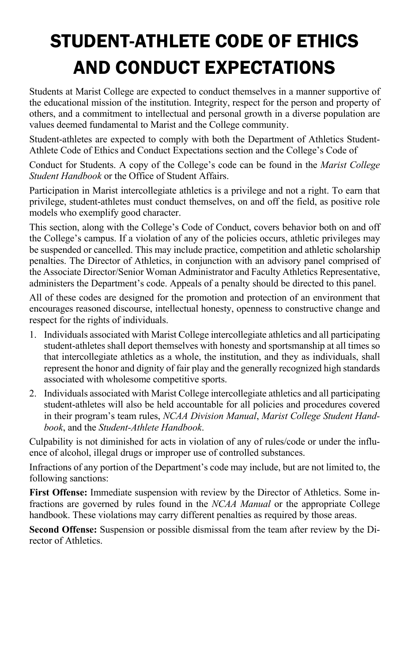# STUDENT-ATHLETE CODE OF ETHICS AND CONDUCT EXPECTATIONS

Students at Marist College are expected to conduct themselves in a manner supportive of the educational mission of the institution. Integrity, respect for the person and property of others, and a commitment to intellectual and personal growth in a diverse population are values deemed fundamental to Marist and the College community.

Student-athletes are expected to comply with both the Department of Athletics Student-Athlete Code of Ethics and Conduct Expectations section and the College's Code of

Conduct for Students. A copy of the College's code can be found in the *Marist College Student Handbook* or the Office of Student Affairs.

Participation in Marist intercollegiate athletics is a privilege and not a right. To earn that privilege, student-athletes must conduct themselves, on and off the field, as positive role models who exemplify good character.

This section, along with the College's Code of Conduct, covers behavior both on and off the College's campus. If a violation of any of the policies occurs, athletic privileges may be suspended or cancelled. This may include practice, competition and athletic scholarship penalties. The Director of Athletics, in conjunction with an advisory panel comprised of the Associate Director/Senior Woman Administrator and Faculty Athletics Representative, administers the Department's code. Appeals of a penalty should be directed to this panel.

All of these codes are designed for the promotion and protection of an environment that encourages reasoned discourse, intellectual honesty, openness to constructive change and respect for the rights of individuals.

- 1. Individuals associated with Marist College intercollegiate athletics and all participating student-athletes shall deport themselves with honesty and sportsmanship at all times so that intercollegiate athletics as a whole, the institution, and they as individuals, shall represent the honor and dignity of fair play and the generally recognized high standards associated with wholesome competitive sports.
- 2. Individuals associated with Marist College intercollegiate athletics and all participating student-athletes will also be held accountable for all policies and procedures covered in their program's team rules, *NCAA Division Manual*, *Marist College Student Handbook*, and the *Student-Athlete Handbook*.

Culpability is not diminished for acts in violation of any of rules/code or under the influence of alcohol, illegal drugs or improper use of controlled substances.

Infractions of any portion of the Department's code may include, but are not limited to, the following sanctions:

**First Offense:** Immediate suspension with review by the Director of Athletics. Some infractions are governed by rules found in the *NCAA Manual* or the appropriate College handbook. These violations may carry different penalties as required by those areas.

**Second Offense:** Suspension or possible dismissal from the team after review by the Director of Athletics.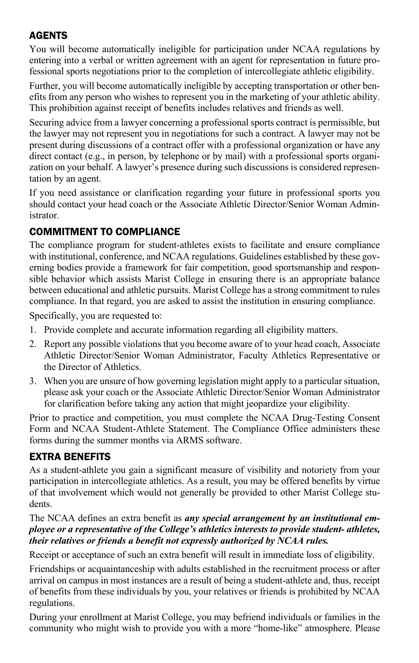# AGENTS

You will become automatically ineligible for participation under NCAA regulations by entering into a verbal or written agreement with an agent for representation in future professional sports negotiations prior to the completion of intercollegiate athletic eligibility.

Further, you will become automatically ineligible by accepting transportation or other benefits from any person who wishes to represent you in the marketing of your athletic ability. This prohibition against receipt of benefits includes relatives and friends as well.

Securing advice from a lawyer concerning a professional sports contract is permissible, but the lawyer may not represent you in negotiations for such a contract. A lawyer may not be present during discussions of a contract offer with a professional organization or have any direct contact (e.g., in person, by telephone or by mail) with a professional sports organization on your behalf. A lawyer's presence during such discussions is considered representation by an agent.

If you need assistance or clarification regarding your future in professional sports you should contact your head coach or the Associate Athletic Director/Senior Woman Administrator.

#### COMMITMENT TO COMPLIANCE

The compliance program for student-athletes exists to facilitate and ensure compliance with institutional, conference, and NCAA regulations. Guidelines established by these governing bodies provide a framework for fair competition, good sportsmanship and responsible behavior which assists Marist College in ensuring there is an appropriate balance between educational and athletic pursuits. Marist College has a strong commitment to rules compliance. In that regard, you are asked to assist the institution in ensuring compliance.

Specifically, you are requested to:

- 1. Provide complete and accurate information regarding all eligibility matters.
- 2. Report any possible violations that you become aware of to your head coach, Associate Athletic Director/Senior Woman Administrator, Faculty Athletics Representative or the Director of Athletics.
- 3. When you are unsure of how governing legislation might apply to a particular situation, please ask your coach or the Associate Athletic Director/Senior Woman Administrator for clarification before taking any action that might jeopardize your eligibility.

Prior to practice and competition, you must complete the NCAA Drug-Testing Consent Form and NCAA Student-Athlete Statement. The Compliance Office administers these forms during the summer months via ARMS software.

### EXTRA BENEFITS

As a student-athlete you gain a significant measure of visibility and notoriety from your participation in intercollegiate athletics. As a result, you may be offered benefits by virtue of that involvement which would not generally be provided to other Marist College students.

#### The NCAA defines an extra benefit as *any special arrangement by an institutional employee or a representative of the College's athletics interests to provide student- athletes, their relatives or friends a benefit not expressly authorized by NCAA rules.*

Receipt or acceptance of such an extra benefit will result in immediate loss of eligibility.

Friendships or acquaintanceship with adults established in the recruitment process or after arrival on campus in most instances are a result of being a student-athlete and, thus, receipt of benefits from these individuals by you, your relatives or friends is prohibited by NCAA regulations.

During your enrollment at Marist College, you may befriend individuals or families in the community who might wish to provide you with a more "home-like" atmosphere. Please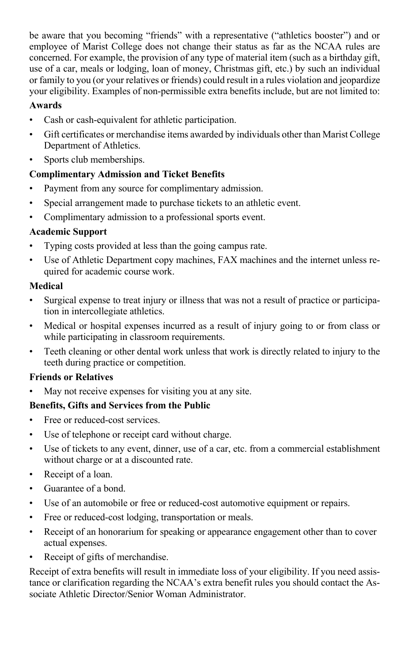be aware that you becoming "friends" with a representative ("athletics booster") and or employee of Marist College does not change their status as far as the NCAA rules are concerned. For example, the provision of any type of material item (such as a birthday gift, use of a car, meals or lodging, loan of money, Christmas gift, etc.) by such an individual or family to you (or your relatives or friends) could result in a rules violation and jeopardize your eligibility. Examples of non-permissible extra benefits include, but are not limited to:

#### **Awards**

- Cash or cash-equivalent for athletic participation.
- Gift certificates or merchandise items awarded by individuals other than Marist College Department of Athletics.
- Sports club memberships.

#### **Complimentary Admission and Ticket Benefits**

- Payment from any source for complimentary admission.
- Special arrangement made to purchase tickets to an athletic event.
- Complimentary admission to a professional sports event.

#### **Academic Support**

- Typing costs provided at less than the going campus rate.
- Use of Athletic Department copy machines, FAX machines and the internet unless required for academic course work.

#### **Medical**

- Surgical expense to treat injury or illness that was not a result of practice or participation in intercollegiate athletics.
- Medical or hospital expenses incurred as a result of injury going to or from class or while participating in classroom requirements.
- Teeth cleaning or other dental work unless that work is directly related to injury to the teeth during practice or competition.

#### **Friends or Relatives**

• May not receive expenses for visiting you at any site.

#### **Benefits, Gifts and Services from the Public**

- Free or reduced-cost services.
- Use of telephone or receipt card without charge.
- Use of tickets to any event, dinner, use of a car, etc. from a commercial establishment without charge or at a discounted rate.
- Receipt of a loan.
- Guarantee of a bond.
- Use of an automobile or free or reduced-cost automotive equipment or repairs.
- Free or reduced-cost lodging, transportation or meals.
- Receipt of an honorarium for speaking or appearance engagement other than to cover actual expenses.
- Receipt of gifts of merchandise.

Receipt of extra benefits will result in immediate loss of your eligibility. If you need assistance or clarification regarding the NCAA's extra benefit rules you should contact the Associate Athletic Director/Senior Woman Administrator.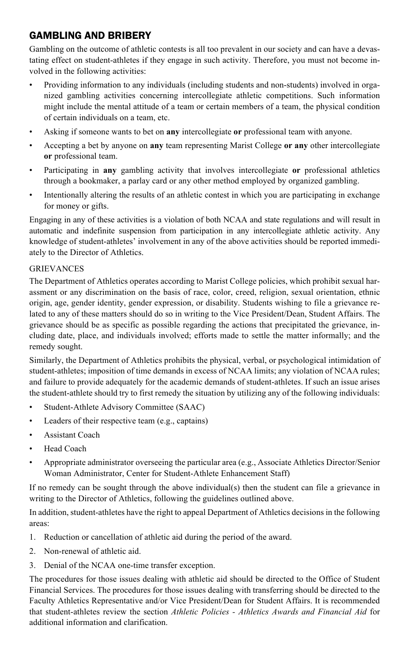#### GAMBLING AND BRIBERY

Gambling on the outcome of athletic contests is all too prevalent in our society and can have a devastating effect on student-athletes if they engage in such activity. Therefore, you must not become involved in the following activities:

- Providing information to any individuals (including students and non-students) involved in organized gambling activities concerning intercollegiate athletic competitions. Such information might include the mental attitude of a team or certain members of a team, the physical condition of certain individuals on a team, etc.
- Asking if someone wants to bet on **any** intercollegiate **or** professional team with anyone.
- Accepting a bet by anyone on **any** team representing Marist College **or any** other intercollegiate **or** professional team.
- Participating in **any** gambling activity that involves intercollegiate **or** professional athletics through a bookmaker, a parlay card or any other method employed by organized gambling.
- Intentionally altering the results of an athletic contest in which you are participating in exchange for money or gifts.

Engaging in any of these activities is a violation of both NCAA and state regulations and will result in automatic and indefinite suspension from participation in any intercollegiate athletic activity. Any knowledge of student-athletes' involvement in any of the above activities should be reported immediately to the Director of Athletics.

#### **GRIEVANCES**

The Department of Athletics operates according to Marist College policies, which prohibit sexual harassment or any discrimination on the basis of race, color, creed, religion, sexual orientation, ethnic origin, age, gender identity, gender expression, or disability. Students wishing to file a grievance related to any of these matters should do so in writing to the Vice President/Dean, Student Affairs. The grievance should be as specific as possible regarding the actions that precipitated the grievance, including date, place, and individuals involved; efforts made to settle the matter informally; and the remedy sought.

Similarly, the Department of Athletics prohibits the physical, verbal, or psychological intimidation of student-athletes; imposition of time demands in excess of NCAA limits; any violation of NCAA rules; and failure to provide adequately for the academic demands of student-athletes. If such an issue arises the student-athlete should try to first remedy the situation by utilizing any of the following individuals:

- Student-Athlete Advisory Committee (SAAC)
- Leaders of their respective team (e.g., captains)
- Assistant Coach
- Head Coach
- Appropriate administrator overseeing the particular area (e.g., Associate Athletics Director/Senior Woman Administrator, Center for Student-Athlete Enhancement Staff)

If no remedy can be sought through the above individual(s) then the student can file a grievance in writing to the Director of Athletics, following the guidelines outlined above.

In addition, student-athletes have the right to appeal Department of Athletics decisions in the following areas:

- 1. Reduction or cancellation of athletic aid during the period of the award.
- 2. Non-renewal of athletic aid.
- 3. Denial of the NCAA one-time transfer exception.

The procedures for those issues dealing with athletic aid should be directed to the Office of Student Financial Services. The procedures for those issues dealing with transferring should be directed to the Faculty Athletics Representative and/or Vice President/Dean for Student Affairs. It is recommended that student-athletes review the section *Athletic Policies - Athletics Awards and Financial Aid* for additional information and clarification.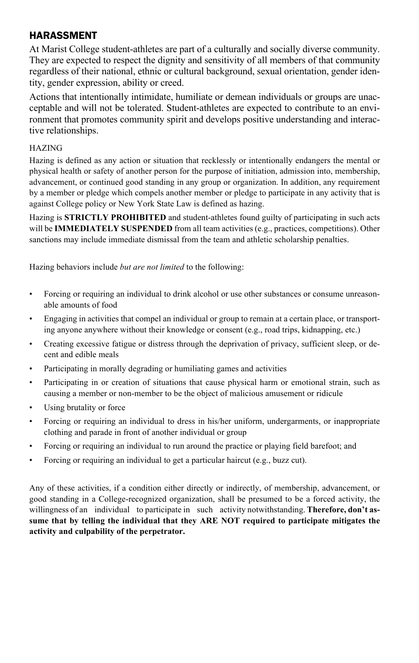#### HARASSMENT

At Marist College student-athletes are part of a culturally and socially diverse community. They are expected to respect the dignity and sensitivity of all members of that community regardless of their national, ethnic or cultural background, sexual orientation, gender identity, gender expression, ability or creed.

Actions that intentionally intimidate, humiliate or demean individuals or groups are unacceptable and will not be tolerated. Student-athletes are expected to contribute to an environment that promotes community spirit and develops positive understanding and interactive relationships.

#### HAZING

Hazing is defined as any action or situation that recklessly or intentionally endangers the mental or physical health or safety of another person for the purpose of initiation, admission into, membership, advancement, or continued good standing in any group or organization. In addition, any requirement by a member or pledge which compels another member or pledge to participate in any activity that is against College policy or New York State Law is defined as hazing.

Hazing is **STRICTLY PROHIBITED** and student-athletes found guilty of participating in such acts will be **IMMEDIATELY SUSPENDED** from all team activities (e.g., practices, competitions). Other sanctions may include immediate dismissal from the team and athletic scholarship penalties.

Hazing behaviors include *but are not limited* to the following:

- Forcing or requiring an individual to drink alcohol or use other substances or consume unreasonable amounts of food
- Engaging in activities that compel an individual or group to remain at a certain place, or transporting anyone anywhere without their knowledge or consent (e.g., road trips, kidnapping, etc.)
- Creating excessive fatigue or distress through the deprivation of privacy, sufficient sleep, or decent and edible meals
- Participating in morally degrading or humiliating games and activities
- Participating in or creation of situations that cause physical harm or emotional strain, such as causing a member or non-member to be the object of malicious amusement or ridicule
- Using brutality or force
- Forcing or requiring an individual to dress in his/her uniform, undergarments, or inappropriate clothing and parade in front of another individual or group
- Forcing or requiring an individual to run around the practice or playing field barefoot; and
- Forcing or requiring an individual to get a particular haircut (e.g., buzz cut).

Any of these activities, if a condition either directly or indirectly, of membership, advancement, or good standing in a College-recognized organization, shall be presumed to be a forced activity, the willingness of an individual to participate in such activity notwithstanding. **Therefore, don't assume that by telling the individual that they ARE NOT required to participate mitigates the activity and culpability of the perpetrator.**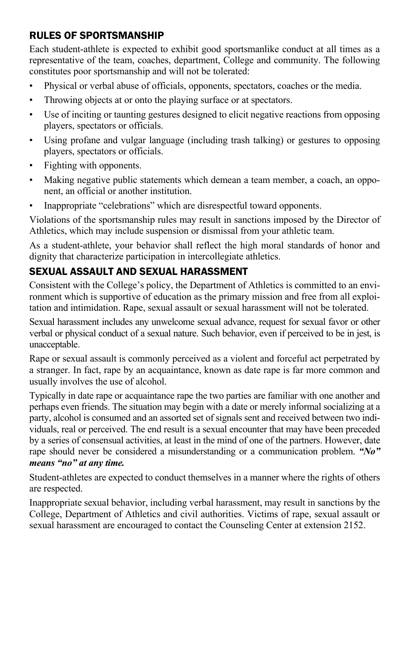#### RULES OF SPORTSMANSHIP

Each student-athlete is expected to exhibit good sportsmanlike conduct at all times as a representative of the team, coaches, department, College and community. The following constitutes poor sportsmanship and will not be tolerated:

- Physical or verbal abuse of officials, opponents, spectators, coaches or the media.
- Throwing objects at or onto the playing surface or at spectators.
- Use of inciting or taunting gestures designed to elicit negative reactions from opposing players, spectators or officials.
- Using profane and vulgar language (including trash talking) or gestures to opposing players, spectators or officials.
- Fighting with opponents.
- Making negative public statements which demean a team member, a coach, an opponent, an official or another institution.
- Inappropriate "celebrations" which are disrespectful toward opponents.

Violations of the sportsmanship rules may result in sanctions imposed by the Director of Athletics, which may include suspension or dismissal from your athletic team.

As a student-athlete, your behavior shall reflect the high moral standards of honor and dignity that characterize participation in intercollegiate athletics.

### SEXUAL ASSAULT AND SEXUAL HARASSMENT

Consistent with the College's policy, the Department of Athletics is committed to an environment which is supportive of education as the primary mission and free from all exploitation and intimidation. Rape, sexual assault or sexual harassment will not be tolerated.

Sexual harassment includes any unwelcome sexual advance, request for sexual favor or other verbal or physical conduct of a sexual nature. Such behavior, even if perceived to be in jest, is unacceptable.

Rape or sexual assault is commonly perceived as a violent and forceful act perpetrated by a stranger. In fact, rape by an acquaintance, known as date rape is far more common and usually involves the use of alcohol.

Typically in date rape or acquaintance rape the two parties are familiar with one another and perhaps even friends. The situation may begin with a date or merely informal socializing at a party, alcohol is consumed and an assorted set of signals sent and received between two individuals, real or perceived. The end result is a sexual encounter that may have been preceded by a series of consensual activities, at least in the mind of one of the partners. However, date rape should never be considered a misunderstanding or a communication problem. *"No" means "no" at any time.*

Student-athletes are expected to conduct themselves in a manner where the rights of others are respected.

Inappropriate sexual behavior, including verbal harassment, may result in sanctions by the College, Department of Athletics and civil authorities. Victims of rape, sexual assault or sexual harassment are encouraged to contact the Counseling Center at extension 2152.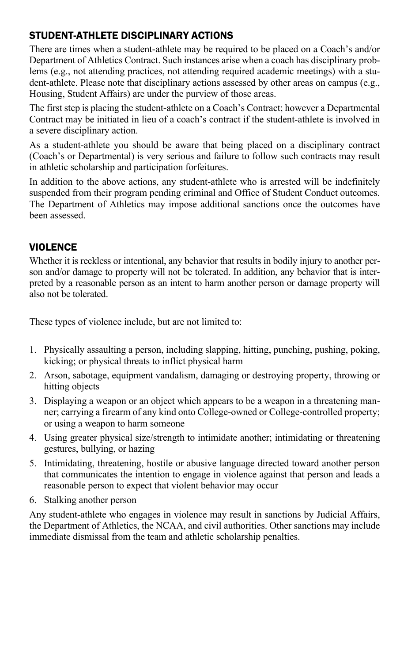### STUDENT-ATHLETE DISCIPLINARY ACTIONS

There are times when a student-athlete may be required to be placed on a Coach's and/or Department of Athletics Contract. Such instances arise when a coach has disciplinary problems (e.g., not attending practices, not attending required academic meetings) with a student-athlete. Please note that disciplinary actions assessed by other areas on campus (e.g., Housing, Student Affairs) are under the purview of those areas.

The first step is placing the student-athlete on a Coach's Contract; however a Departmental Contract may be initiated in lieu of a coach's contract if the student-athlete is involved in a severe disciplinary action.

As a student-athlete you should be aware that being placed on a disciplinary contract (Coach's or Departmental) is very serious and failure to follow such contracts may result in athletic scholarship and participation forfeitures.

In addition to the above actions, any student-athlete who is arrested will be indefinitely suspended from their program pending criminal and Office of Student Conduct outcomes. The Department of Athletics may impose additional sanctions once the outcomes have been assessed.

### **VIOLENCE**

Whether it is reckless or intentional, any behavior that results in bodily injury to another person and/or damage to property will not be tolerated. In addition, any behavior that is interpreted by a reasonable person as an intent to harm another person or damage property will also not be tolerated.

These types of violence include, but are not limited to:

- 1. Physically assaulting a person, including slapping, hitting, punching, pushing, poking, kicking; or physical threats to inflict physical harm
- 2. Arson, sabotage, equipment vandalism, damaging or destroying property, throwing or hitting objects
- 3. Displaying a weapon or an object which appears to be a weapon in a threatening manner; carrying a firearm of any kind onto College-owned or College-controlled property; or using a weapon to harm someone
- 4. Using greater physical size/strength to intimidate another; intimidating or threatening gestures, bullying, or hazing
- 5. Intimidating, threatening, hostile or abusive language directed toward another person that communicates the intention to engage in violence against that person and leads a reasonable person to expect that violent behavior may occur
- 6. Stalking another person

Any student-athlete who engages in violence may result in sanctions by Judicial Affairs, the Department of Athletics, the NCAA, and civil authorities. Other sanctions may include immediate dismissal from the team and athletic scholarship penalties.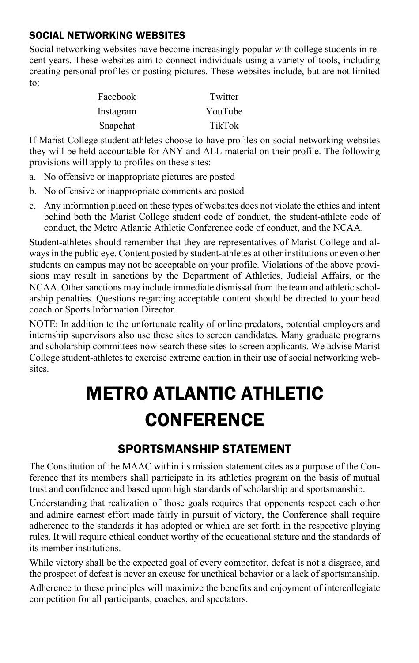#### SOCIAL NETWORKING WEBSITES

Social networking websites have become increasingly popular with college students in recent years. These websites aim to connect individuals using a variety of tools, including creating personal profiles or posting pictures. These websites include, but are not limited to:

| Facebook  | Twitter |
|-----------|---------|
| Instagram | YouTube |
| Snapchat  | TikTok  |

If Marist College student-athletes choose to have profiles on social networking websites they will be held accountable for ANY and ALL material on their profile. The following provisions will apply to profiles on these sites:

- a. No offensive or inappropriate pictures are posted
- b. No offensive or inappropriate comments are posted
- c. Any information placed on these types of websites does not violate the ethics and intent behind both the Marist College student code of conduct, the student-athlete code of conduct, the Metro Atlantic Athletic Conference code of conduct, and the NCAA.

Student-athletes should remember that they are representatives of Marist College and always in the public eye. Content posted by student-athletes at other institutions or even other students on campus may not be acceptable on your profile. Violations of the above provisions may result in sanctions by the Department of Athletics, Judicial Affairs, or the NCAA. Other sanctions may include immediate dismissal from the team and athletic scholarship penalties. Questions regarding acceptable content should be directed to your head coach or Sports Information Director.

NOTE: In addition to the unfortunate reality of online predators, potential employers and internship supervisors also use these sites to screen candidates. Many graduate programs and scholarship committees now search these sites to screen applicants. We advise Marist College student-athletes to exercise extreme caution in their use of social networking websites.

# METRO ATLANTIC ATHLETIC **CONFERENCE**

# SPORTSMANSHIP STATEMENT

The Constitution of the MAAC within its mission statement cites as a purpose of the Conference that its members shall participate in its athletics program on the basis of mutual trust and confidence and based upon high standards of scholarship and sportsmanship.

Understanding that realization of those goals requires that opponents respect each other and admire earnest effort made fairly in pursuit of victory, the Conference shall require adherence to the standards it has adopted or which are set forth in the respective playing rules. It will require ethical conduct worthy of the educational stature and the standards of its member institutions.

While victory shall be the expected goal of every competitor, defeat is not a disgrace, and the prospect of defeat is never an excuse for unethical behavior or a lack of sportsmanship.

Adherence to these principles will maximize the benefits and enjoyment of intercollegiate competition for all participants, coaches, and spectators.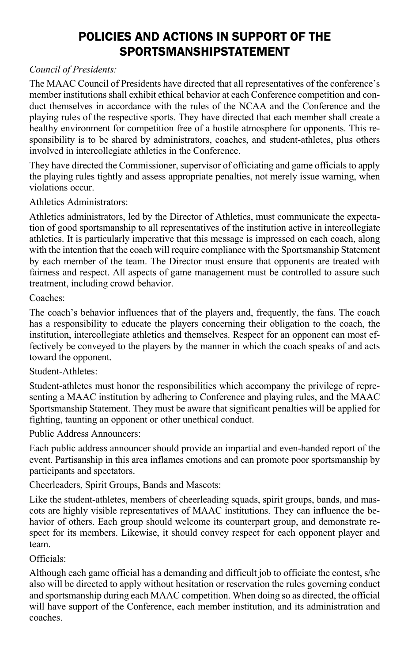# POLICIES AND ACTIONS IN SUPPORT OF THE SPORTSMANSHIPSTATEMENT

#### *Council of Presidents:*

The MAAC Council of Presidents have directed that all representatives of the conference's member institutions shall exhibit ethical behavior at each Conference competition and conduct themselves in accordance with the rules of the NCAA and the Conference and the playing rules of the respective sports. They have directed that each member shall create a healthy environment for competition free of a hostile atmosphere for opponents. This responsibility is to be shared by administrators, coaches, and student-athletes, plus others involved in intercollegiate athletics in the Conference.

They have directed the Commissioner, supervisor of officiating and game officials to apply the playing rules tightly and assess appropriate penalties, not merely issue warning, when violations occur.

Athletics Administrators:

Athletics administrators, led by the Director of Athletics, must communicate the expectation of good sportsmanship to all representatives of the institution active in intercollegiate athletics. It is particularly imperative that this message is impressed on each coach, along with the intention that the coach will require compliance with the Sportsmanship Statement by each member of the team. The Director must ensure that opponents are treated with fairness and respect. All aspects of game management must be controlled to assure such treatment, including crowd behavior.

#### Coaches:

The coach's behavior influences that of the players and, frequently, the fans. The coach has a responsibility to educate the players concerning their obligation to the coach, the institution, intercollegiate athletics and themselves. Respect for an opponent can most effectively be conveyed to the players by the manner in which the coach speaks of and acts toward the opponent.

#### Student-Athletes:

Student-athletes must honor the responsibilities which accompany the privilege of representing a MAAC institution by adhering to Conference and playing rules, and the MAAC Sportsmanship Statement. They must be aware that significant penalties will be applied for fighting, taunting an opponent or other unethical conduct.

Public Address Announcers:

Each public address announcer should provide an impartial and even-handed report of the event. Partisanship in this area inflames emotions and can promote poor sportsmanship by participants and spectators.

Cheerleaders, Spirit Groups, Bands and Mascots:

Like the student-athletes, members of cheerleading squads, spirit groups, bands, and mascots are highly visible representatives of MAAC institutions. They can influence the behavior of others. Each group should welcome its counterpart group, and demonstrate respect for its members. Likewise, it should convey respect for each opponent player and team.

#### Officials:

Although each game official has a demanding and difficult job to officiate the contest, s/he also will be directed to apply without hesitation or reservation the rules governing conduct and sportsmanship during each MAAC competition. When doing so as directed, the official will have support of the Conference, each member institution, and its administration and coaches.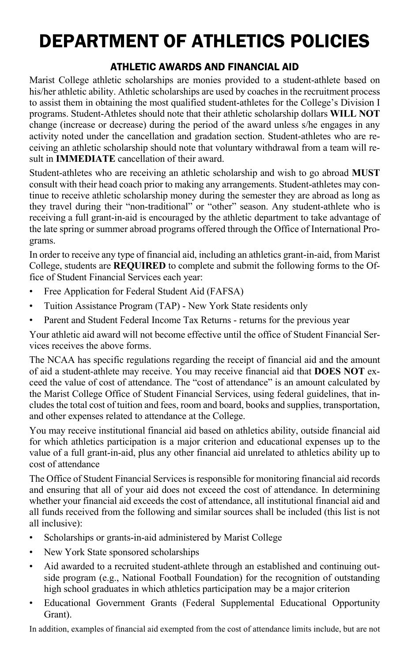# DEPARTMENT OF ATHLETICS POLICIES

# ATHLETIC AWARDS AND FINANCIAL AID

Marist College athletic scholarships are monies provided to a student-athlete based on his/her athletic ability. Athletic scholarships are used by coaches in the recruitment process to assist them in obtaining the most qualified student-athletes for the College's Division I programs. Student-Athletes should note that their athletic scholarship dollars **WILL NOT**  change (increase or decrease) during the period of the award unless s/he engages in any activity noted under the cancellation and gradation section. Student-athletes who are receiving an athletic scholarship should note that voluntary withdrawal from a team will result in **IMMEDIATE** cancellation of their award.

Student-athletes who are receiving an athletic scholarship and wish to go abroad **MUST**  consult with their head coach prior to making any arrangements. Student-athletes may continue to receive athletic scholarship money during the semester they are abroad as long as they travel during their "non-traditional" or "other" season. Any student-athlete who is receiving a full grant-in-aid is encouraged by the athletic department to take advantage of the late spring or summer abroad programs offered through the Office of International Programs.

In order to receive any type of financial aid, including an athletics grant-in-aid, from Marist College, students are **REQUIRED** to complete and submit the following forms to the Office of Student Financial Services each year:

- Free Application for Federal Student Aid (FAFSA)
- Tuition Assistance Program (TAP) New York State residents only
- Parent and Student Federal Income Tax Returns returns for the previous year

Your athletic aid award will not become effective until the office of Student Financial Services receives the above forms.

The NCAA has specific regulations regarding the receipt of financial aid and the amount of aid a student-athlete may receive. You may receive financial aid that **DOES NOT** exceed the value of cost of attendance. The "cost of attendance" is an amount calculated by the Marist College Office of Student Financial Services, using federal guidelines, that includes the total cost of tuition and fees, room and board, books and supplies, transportation, and other expenses related to attendance at the College.

You may receive institutional financial aid based on athletics ability, outside financial aid for which athletics participation is a major criterion and educational expenses up to the value of a full grant-in-aid, plus any other financial aid unrelated to athletics ability up to cost of attendance

The Office of Student Financial Services is responsible for monitoring financial aid records and ensuring that all of your aid does not exceed the cost of attendance. In determining whether your financial aid exceeds the cost of attendance, all institutional financial aid and all funds received from the following and similar sources shall be included (this list is not all inclusive):

- Scholarships or grants-in-aid administered by Marist College
- New York State sponsored scholarships
- Aid awarded to a recruited student-athlete through an established and continuing outside program (e.g., National Football Foundation) for the recognition of outstanding high school graduates in which athletics participation may be a major criterion
- Educational Government Grants (Federal Supplemental Educational Opportunity Grant).

In addition, examples of financial aid exempted from the cost of attendance limits include, but are not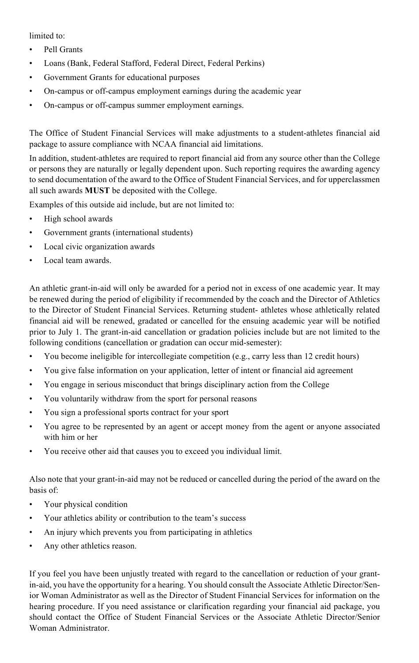limited to:

- Pell Grants
- Loans (Bank, Federal Stafford, Federal Direct, Federal Perkins)
- Government Grants for educational purposes
- On-campus or off-campus employment earnings during the academic year
- On-campus or off-campus summer employment earnings.

The Office of Student Financial Services will make adjustments to a student-athletes financial aid package to assure compliance with NCAA financial aid limitations.

In addition, student-athletes are required to report financial aid from any source other than the College or persons they are naturally or legally dependent upon. Such reporting requires the awarding agency to send documentation of the award to the Office of Student Financial Services, and for upperclassmen all such awards **MUST** be deposited with the College.

Examples of this outside aid include, but are not limited to:

- High school awards
- Government grants (international students)
- Local civic organization awards
- Local team awards.

An athletic grant-in-aid will only be awarded for a period not in excess of one academic year. It may be renewed during the period of eligibility if recommended by the coach and the Director of Athletics to the Director of Student Financial Services. Returning student- athletes whose athletically related financial aid will be renewed, gradated or cancelled for the ensuing academic year will be notified prior to July 1. The grant-in-aid cancellation or gradation policies include but are not limited to the following conditions (cancellation or gradation can occur mid-semester):

- You become ineligible for intercollegiate competition (e.g., carry less than 12 credit hours)
- You give false information on your application, letter of intent or financial aid agreement
- You engage in serious misconduct that brings disciplinary action from the College
- You voluntarily withdraw from the sport for personal reasons
- You sign a professional sports contract for your sport
- You agree to be represented by an agent or accept money from the agent or anyone associated with him or her
- You receive other aid that causes you to exceed you individual limit.

Also note that your grant-in-aid may not be reduced or cancelled during the period of the award on the basis of:

- Your physical condition
- Your athletics ability or contribution to the team's success
- An injury which prevents you from participating in athletics
- Any other athletics reason.

If you feel you have been unjustly treated with regard to the cancellation or reduction of your grantin-aid, you have the opportunity for a hearing. You should consult the Associate Athletic Director/Senior Woman Administrator as well as the Director of Student Financial Services for information on the hearing procedure. If you need assistance or clarification regarding your financial aid package, you should contact the Office of Student Financial Services or the Associate Athletic Director/Senior Woman Administrator.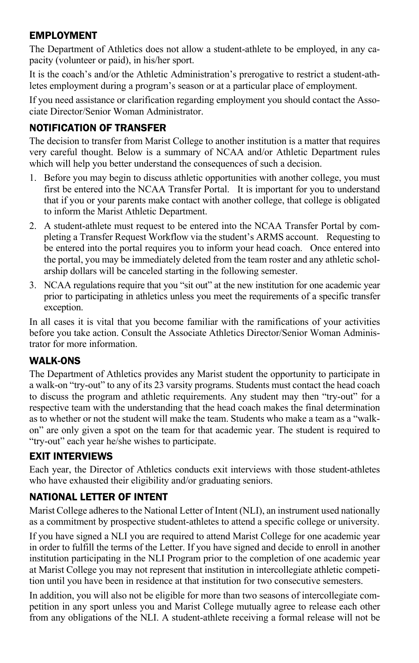#### EMPLOYMENT

The Department of Athletics does not allow a student-athlete to be employed, in any capacity (volunteer or paid), in his/her sport.

It is the coach's and/or the Athletic Administration's prerogative to restrict a student-athletes employment during a program's season or at a particular place of employment.

If you need assistance or clarification regarding employment you should contact the Associate Director/Senior Woman Administrator.

### NOTIFICATION OF TRANSFER

The decision to transfer from Marist College to another institution is a matter that requires very careful thought. Below is a summary of NCAA and/or Athletic Department rules which will help you better understand the consequences of such a decision.

- 1. Before you may begin to discuss athletic opportunities with another college, you must first be entered into the NCAA Transfer Portal. It is important for you to understand that if you or your parents make contact with another college, that college is obligated to inform the Marist Athletic Department.
- 2. A student-athlete must request to be entered into the NCAA Transfer Portal by completing a Transfer Request Workflow via the student's ARMS account. Requesting to be entered into the portal requires you to inform your head coach. Once entered into the portal, you may be immediately deleted from the team roster and any athletic scholarship dollars will be canceled starting in the following semester.
- 3. NCAA regulations require that you "sit out" at the new institution for one academic year prior to participating in athletics unless you meet the requirements of a specific transfer exception.

In all cases it is vital that you become familiar with the ramifications of your activities before you take action. Consult the Associate Athletics Director/Senior Woman Administrator for more information.

### WALK-ONS

The Department of Athletics provides any Marist student the opportunity to participate in a walk-on "try-out" to any of its 23 varsity programs. Students must contact the head coach to discuss the program and athletic requirements. Any student may then "try-out" for a respective team with the understanding that the head coach makes the final determination as to whether or not the student will make the team. Students who make a team as a "walkon" are only given a spot on the team for that academic year. The student is required to "try-out" each year he/she wishes to participate.

# EXIT INTERVIEWS

Each year, the Director of Athletics conducts exit interviews with those student-athletes who have exhausted their eligibility and/or graduating seniors.

# NATIONAL LETTER OF INTENT

Marist College adheres to the National Letter of Intent (NLI), an instrument used nationally as a commitment by prospective student-athletes to attend a specific college or university.

If you have signed a NLI you are required to attend Marist College for one academic year in order to fulfill the terms of the Letter. If you have signed and decide to enroll in another institution participating in the NLI Program prior to the completion of one academic year at Marist College you may not represent that institution in intercollegiate athletic competition until you have been in residence at that institution for two consecutive semesters.

In addition, you will also not be eligible for more than two seasons of intercollegiate competition in any sport unless you and Marist College mutually agree to release each other from any obligations of the NLI. A student-athlete receiving a formal release will not be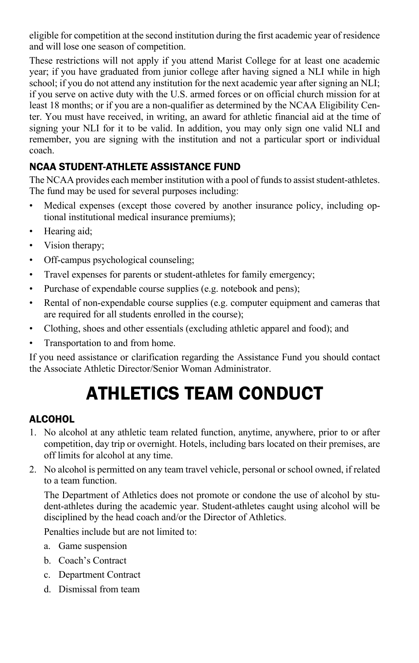eligible for competition at the second institution during the first academic year of residence and will lose one season of competition.

These restrictions will not apply if you attend Marist College for at least one academic year; if you have graduated from junior college after having signed a NLI while in high school; if you do not attend any institution for the next academic year after signing an NLI; if you serve on active duty with the U.S. armed forces or on official church mission for at least 18 months; or if you are a non-qualifier as determined by the NCAA Eligibility Center. You must have received, in writing, an award for athletic financial aid at the time of signing your NLI for it to be valid. In addition, you may only sign one valid NLI and remember, you are signing with the institution and not a particular sport or individual coach.

# NCAA STUDENT-ATHLETE ASSISTANCE FUND

The NCAA provides each member institution with a pool of funds to assist student-athletes. The fund may be used for several purposes including:

- Medical expenses (except those covered by another insurance policy, including optional institutional medical insurance premiums);
- Hearing aid;
- Vision therapy;
- Off-campus psychological counseling;
- Travel expenses for parents or student-athletes for family emergency;
- Purchase of expendable course supplies (e.g. notebook and pens);
- Rental of non-expendable course supplies (e.g. computer equipment and cameras that are required for all students enrolled in the course);
- Clothing, shoes and other essentials (excluding athletic apparel and food); and
- Transportation to and from home.

If you need assistance or clarification regarding the Assistance Fund you should contact the Associate Athletic Director/Senior Woman Administrator.

# ATHLETICS TEAM CONDUCT

# **ALCOHOL**

- 1. No alcohol at any athletic team related function, anytime, anywhere, prior to or after competition, day trip or overnight. Hotels, including bars located on their premises, are off limits for alcohol at any time.
- 2. No alcohol is permitted on any team travel vehicle, personal or school owned, if related to a team function.

The Department of Athletics does not promote or condone the use of alcohol by student-athletes during the academic year. Student-athletes caught using alcohol will be disciplined by the head coach and/or the Director of Athletics.

Penalties include but are not limited to:

- a. Game suspension
- b. Coach's Contract
- c. Department Contract
- d. Dismissal from team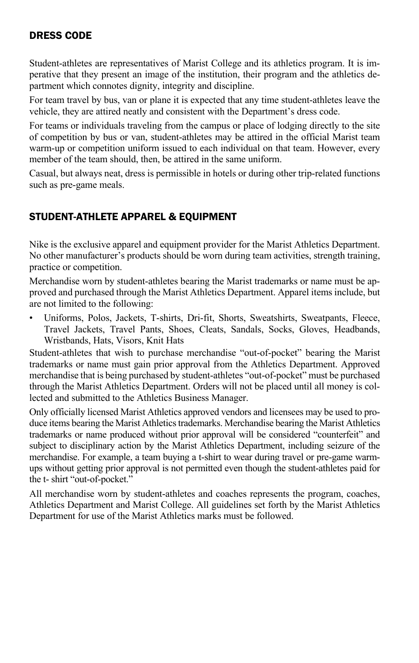#### DRESS CODE

Student-athletes are representatives of Marist College and its athletics program. It is imperative that they present an image of the institution, their program and the athletics department which connotes dignity, integrity and discipline.

For team travel by bus, van or plane it is expected that any time student-athletes leave the vehicle, they are attired neatly and consistent with the Department's dress code.

For teams or individuals traveling from the campus or place of lodging directly to the site of competition by bus or van, student-athletes may be attired in the official Marist team warm-up or competition uniform issued to each individual on that team. However, every member of the team should, then, be attired in the same uniform.

Casual, but always neat, dress is permissible in hotels or during other trip-related functions such as pre-game meals.

#### STUDENT-ATHLETE APPAREL & EQUIPMENT

Nike is the exclusive apparel and equipment provider for the Marist Athletics Department. No other manufacturer's products should be worn during team activities, strength training, practice or competition.

Merchandise worn by student-athletes bearing the Marist trademarks or name must be approved and purchased through the Marist Athletics Department. Apparel items include, but are not limited to the following:

• Uniforms, Polos, Jackets, T-shirts, Dri-fit, Shorts, Sweatshirts, Sweatpants, Fleece, Travel Jackets, Travel Pants, Shoes, Cleats, Sandals, Socks, Gloves, Headbands, Wristbands, Hats, Visors, Knit Hats

Student-athletes that wish to purchase merchandise "out-of-pocket" bearing the Marist trademarks or name must gain prior approval from the Athletics Department. Approved merchandise that is being purchased by student-athletes "out-of-pocket" must be purchased through the Marist Athletics Department. Orders will not be placed until all money is collected and submitted to the Athletics Business Manager.

Only officially licensed Marist Athletics approved vendors and licensees may be used to produce items bearing the Marist Athletics trademarks. Merchandise bearing the Marist Athletics trademarks or name produced without prior approval will be considered "counterfeit" and subject to disciplinary action by the Marist Athletics Department, including seizure of the merchandise. For example, a team buying a t-shirt to wear during travel or pre-game warmups without getting prior approval is not permitted even though the student-athletes paid for the t- shirt "out-of-pocket."

All merchandise worn by student-athletes and coaches represents the program, coaches, Athletics Department and Marist College. All guidelines set forth by the Marist Athletics Department for use of the Marist Athletics marks must be followed.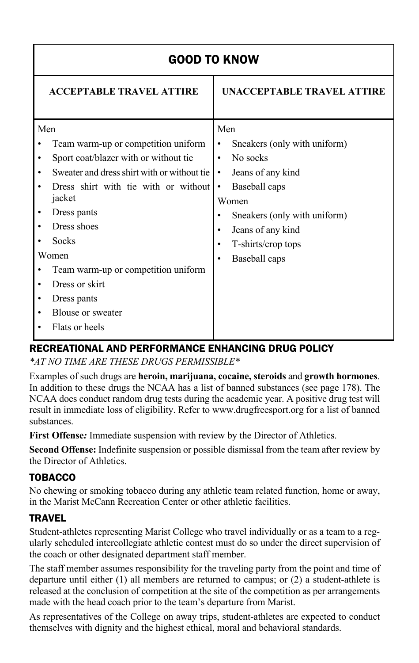|     | <b>GOOD TO KNOW</b>                                                                                                                                                                                                                                                                                                        |                                                                                                                                                                                                                                               |  |  |
|-----|----------------------------------------------------------------------------------------------------------------------------------------------------------------------------------------------------------------------------------------------------------------------------------------------------------------------------|-----------------------------------------------------------------------------------------------------------------------------------------------------------------------------------------------------------------------------------------------|--|--|
|     | <b>ACCEPTABLE TRAVEL ATTIRE</b>                                                                                                                                                                                                                                                                                            | UNACCEPTABLE TRAVEL ATTIRE                                                                                                                                                                                                                    |  |  |
| Men | Team warm-up or competition uniform<br>Sport coat/blazer with or without tie<br>Sweater and dress shirt with or without tie<br>Dress shirt with tie with or without<br>jacket<br>Dress pants<br>Dress shoes<br>Socks<br>Women<br>Team warm-up or competition uniform<br>Dress or skirt<br>Dress pants<br>Blouse or sweater | Men<br>Sneakers (only with uniform)<br>٠<br>No socks<br>$\bullet$<br>Jeans of any kind<br>٠<br>Baseball caps<br>$\bullet$<br>Women<br>Sneakers (only with uniform)<br>Jeans of any kind<br>٠<br>T-shirts/crop tops<br>٠<br>Baseball caps<br>٠ |  |  |
|     | Flats or heels                                                                                                                                                                                                                                                                                                             |                                                                                                                                                                                                                                               |  |  |

# RECREATIONAL AND PERFORMANCE ENHANCING DRUG POLICY

*\*AT NO TIME ARE THESE DRUGS PERMISSIBLE\**

Examples of such drugs are **heroin, marijuana, cocaine, steroids** and **growth hormones**. In addition to these drugs the NCAA has a list of banned substances (see page 178). The NCAA does conduct random drug tests during the academic year. A positive drug test will result in immediate loss of eligibility. Refer to www.drugfreesport.org for a list of banned substances.

**First Offense***:* Immediate suspension with review by the Director of Athletics.

**Second Offense:** Indefinite suspension or possible dismissal from the team after review by the Director of Athletics.

# TOBACCO

No chewing or smoking tobacco during any athletic team related function, home or away, in the Marist McCann Recreation Center or other athletic facilities.

# TRAVEL

Student-athletes representing Marist College who travel individually or as a team to a regularly scheduled intercollegiate athletic contest must do so under the direct supervision of the coach or other designated department staff member.

The staff member assumes responsibility for the traveling party from the point and time of departure until either (1) all members are returned to campus; or (2) a student-athlete is released at the conclusion of competition at the site of the competition as per arrangements made with the head coach prior to the team's departure from Marist.

As representatives of the College on away trips, student-athletes are expected to conduct themselves with dignity and the highest ethical, moral and behavioral standards.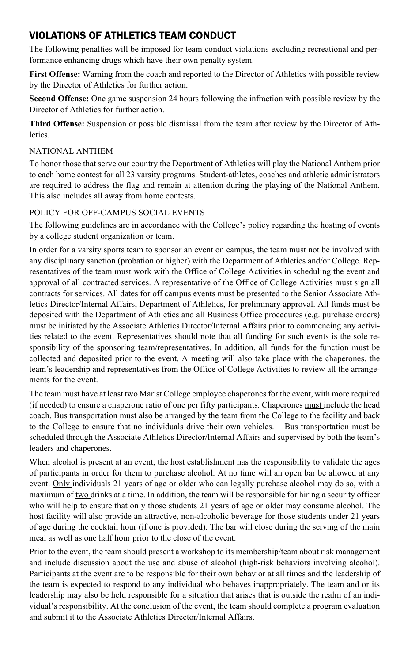#### VIOLATIONS OF ATHLETICS TEAM CONDUCT

The following penalties will be imposed for team conduct violations excluding recreational and performance enhancing drugs which have their own penalty system.

**First Offense:** Warning from the coach and reported to the Director of Athletics with possible review by the Director of Athletics for further action.

**Second Offense:** One game suspension 24 hours following the infraction with possible review by the Director of Athletics for further action.

**Third Offense:** Suspension or possible dismissal from the team after review by the Director of Athletics.

#### NATIONAL ANTHEM

To honor those that serve our country the Department of Athletics will play the National Anthem prior to each home contest for all 23 varsity programs. Student-athletes, coaches and athletic administrators are required to address the flag and remain at attention during the playing of the National Anthem. This also includes all away from home contests.

#### POLICY FOR OFF-CAMPUS SOCIAL EVENTS

The following guidelines are in accordance with the College's policy regarding the hosting of events by a college student organization or team.

In order for a varsity sports team to sponsor an event on campus, the team must not be involved with any disciplinary sanction (probation or higher) with the Department of Athletics and/or College. Representatives of the team must work with the Office of College Activities in scheduling the event and approval of all contracted services. A representative of the Office of College Activities must sign all contracts for services. All dates for off campus events must be presented to the Senior Associate Athletics Director/Internal Affairs, Department of Athletics, for preliminary approval. All funds must be deposited with the Department of Athletics and all Business Office procedures (e.g. purchase orders) must be initiated by the Associate Athletics Director/Internal Affairs prior to commencing any activities related to the event. Representatives should note that all funding for such events is the sole responsibility of the sponsoring team/representatives. In addition, all funds for the function must be collected and deposited prior to the event. A meeting will also take place with the chaperones, the team's leadership and representatives from the Office of College Activities to review all the arrangements for the event.

The team must have at least two Marist College employee chaperones for the event, with more required (if needed) to ensure a chaperone ratio of one per fifty participants. Chaperones must include the head coach. Bus transportation must also be arranged by the team from the College to the facility and back to the College to ensure that no individuals drive their own vehicles. Bus transportation must be scheduled through the Associate Athletics Director/Internal Affairs and supervised by both the team's leaders and chaperones.

When alcohol is present at an event, the host establishment has the responsibility to validate the ages of participants in order for them to purchase alcohol. At no time will an open bar be allowed at any event. Only individuals 21 years of age or older who can legally purchase alcohol may do so, with a maximum of two drinks at a time. In addition, the team will be responsible for hiring a security officer who will help to ensure that only those students 21 years of age or older may consume alcohol. The host facility will also provide an attractive, non-alcoholic beverage for those students under 21 years of age during the cocktail hour (if one is provided). The bar will close during the serving of the main meal as well as one half hour prior to the close of the event.

Prior to the event, the team should present a workshop to its membership/team about risk management and include discussion about the use and abuse of alcohol (high-risk behaviors involving alcohol). Participants at the event are to be responsible for their own behavior at all times and the leadership of the team is expected to respond to any individual who behaves inappropriately. The team and or its leadership may also be held responsible for a situation that arises that is outside the realm of an individual's responsibility. At the conclusion of the event, the team should complete a program evaluation and submit it to the Associate Athletics Director/Internal Affairs.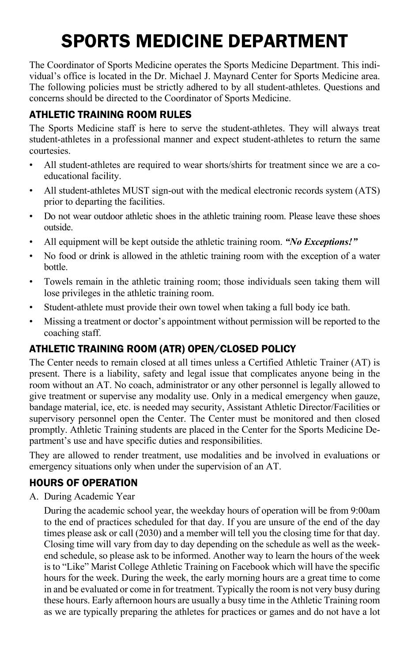# SPORTS MEDICINE DEPARTMENT

The Coordinator of Sports Medicine operates the Sports Medicine Department. This individual's office is located in the Dr. Michael J. Maynard Center for Sports Medicine area. The following policies must be strictly adhered to by all student-athletes. Questions and concerns should be directed to the Coordinator of Sports Medicine.

# ATHLETIC TRAINING ROOM RULES

The Sports Medicine staff is here to serve the student-athletes. They will always treat student-athletes in a professional manner and expect student-athletes to return the same courtesies.

- All student-athletes are required to wear shorts/shirts for treatment since we are a coeducational facility.
- All student-athletes MUST sign-out with the medical electronic records system (ATS) prior to departing the facilities.
- Do not wear outdoor athletic shoes in the athletic training room. Please leave these shoes outside.
- All equipment will be kept outside the athletic training room. *"No Exceptions!"*
- No food or drink is allowed in the athletic training room with the exception of a water bottle.
- Towels remain in the athletic training room; those individuals seen taking them will lose privileges in the athletic training room.
- Student-athlete must provide their own towel when taking a full body ice bath.
- Missing a treatment or doctor's appointment without permission will be reported to the coaching staff.

# ATHLETIC TRAINING ROOM (ATR) OPEN/CLOSED POLICY

The Center needs to remain closed at all times unless a Certified Athletic Trainer (AT) is present. There is a liability, safety and legal issue that complicates anyone being in the room without an AT. No coach, administrator or any other personnel is legally allowed to give treatment or supervise any modality use. Only in a medical emergency when gauze, bandage material, ice, etc. is needed may security, Assistant Athletic Director/Facilities or supervisory personnel open the Center. The Center must be monitored and then closed promptly. Athletic Training students are placed in the Center for the Sports Medicine Department's use and have specific duties and responsibilities.

They are allowed to render treatment, use modalities and be involved in evaluations or emergency situations only when under the supervision of an AT.

# HOURS OF OPERATION

A. During Academic Year

During the academic school year, the weekday hours of operation will be from 9:00am to the end of practices scheduled for that day. If you are unsure of the end of the day times please ask or call (2030) and a member will tell you the closing time for that day. Closing time will vary from day to day depending on the schedule as well as the weekend schedule, so please ask to be informed. Another way to learn the hours of the week is to "Like" Marist College Athletic Training on Facebook which will have the specific hours for the week. During the week, the early morning hours are a great time to come in and be evaluated or come in for treatment. Typically the room is not very busy during these hours. Early afternoon hours are usually a busy time in the Athletic Training room as we are typically preparing the athletes for practices or games and do not have a lot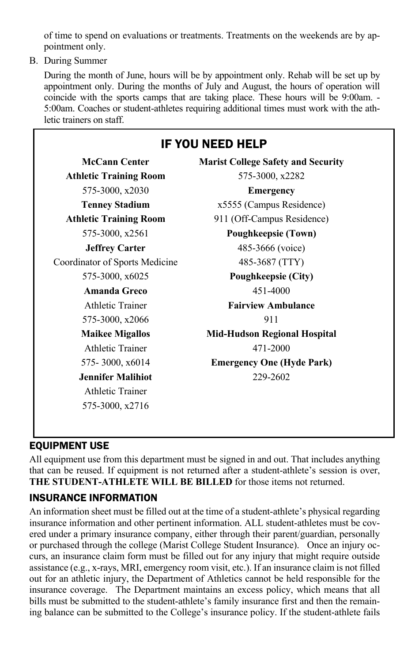of time to spend on evaluations or treatments. Treatments on the weekends are by appointment only.

B. During Summer

During the month of June, hours will be by appointment only. Rehab will be set up by appointment only. During the months of July and August, the hours of operation will coincide with the sports camps that are taking place. These hours will be 9:00am. - 5:00am. Coaches or student-athletes requiring additional times must work with the athletic trainers on staff.

# IF YOU NEED HELP **McCann Center Marist College Safety and Security Athletic Training Room** 575-3000, x2282 575-3000, x2030 **Emergency Tenney Stadium** x5555 (Campus Residence) **Athletic Training Room** 911 (Off-Campus Residence) 575-3000, x2561 **Poughkeepsie (Town) Jeffrey Carter** 485-3666 (voice) Coordinator of Sports Medicine 485-3687 (TTY) 575-3000, x6025 **Poughkeepsie (City) Amanda Greco** 451-4000 Athletic Trainer **Fairview Ambulance** 575-3000, x2066 911 **Maikee Migallos Mid-Hudson Regional Hospital** Athletic Trainer 471-2000 575- 3000, x6014 **Emergency One (Hyde Park) Jennifer Malihiot** 229-2602 Athletic Trainer 575-3000, x2716

# EQUIPMENT USE

All equipment use from this department must be signed in and out. That includes anything that can be reused. If equipment is not returned after a student-athlete's session is over, **THE STUDENT-ATHLETE WILL BE BILLED** for those items not returned.

# INSURANCE INFORMATION

An information sheet must be filled out at the time of a student-athlete's physical regarding insurance information and other pertinent information. ALL student-athletes must be covered under a primary insurance company, either through their parent/guardian, personally or purchased through the college (Marist College Student Insurance). Once an injury occurs, an insurance claim form must be filled out for any injury that might require outside assistance (e.g., x-rays, MRI, emergency room visit, etc.). If an insurance claim is not filled out for an athletic injury, the Department of Athletics cannot be held responsible for the insurance coverage. The Department maintains an excess policy, which means that all bills must be submitted to the student-athlete's family insurance first and then the remaining balance can be submitted to the College's insurance policy. If the student-athlete fails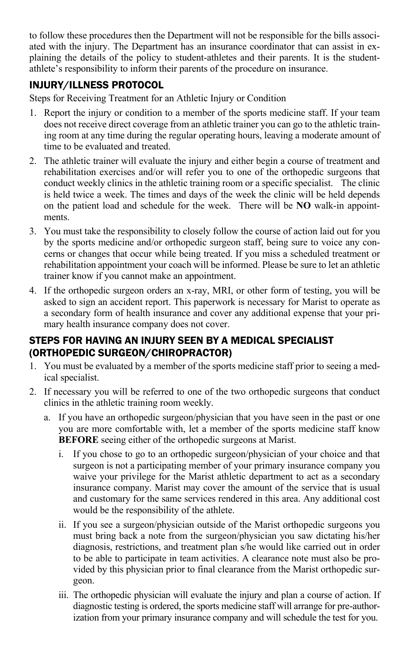to follow these procedures then the Department will not be responsible for the bills associated with the injury. The Department has an insurance coordinator that can assist in explaining the details of the policy to student-athletes and their parents. It is the studentathlete's responsibility to inform their parents of the procedure on insurance.

# INJURY/ILLNESS PROTOCOL

Steps for Receiving Treatment for an Athletic Injury or Condition

- 1. Report the injury or condition to a member of the sports medicine staff. If your team does not receive direct coverage from an athletic trainer you can go to the athletic training room at any time during the regular operating hours, leaving a moderate amount of time to be evaluated and treated.
- 2. The athletic trainer will evaluate the injury and either begin a course of treatment and rehabilitation exercises and/or will refer you to one of the orthopedic surgeons that conduct weekly clinics in the athletic training room or a specific specialist. The clinic is held twice a week. The times and days of the week the clinic will be held depends on the patient load and schedule for the week. There will be **NO** walk-in appointments.
- 3. You must take the responsibility to closely follow the course of action laid out for you by the sports medicine and/or orthopedic surgeon staff, being sure to voice any concerns or changes that occur while being treated. If you miss a scheduled treatment or rehabilitation appointment your coach will be informed. Please be sure to let an athletic trainer know if you cannot make an appointment.
- 4. If the orthopedic surgeon orders an x-ray, MRI, or other form of testing, you will be asked to sign an accident report. This paperwork is necessary for Marist to operate as a secondary form of health insurance and cover any additional expense that your primary health insurance company does not cover.

### STEPS FOR HAVING AN INJURY SEEN BY A MEDICAL SPECIALIST (ORTHOPEDIC SURGEON/CHIROPRACTOR)

- 1. You must be evaluated by a member of the sports medicine staff prior to seeing a medical specialist.
- 2. If necessary you will be referred to one of the two orthopedic surgeons that conduct clinics in the athletic training room weekly.
	- a. If you have an orthopedic surgeon/physician that you have seen in the past or one you are more comfortable with, let a member of the sports medicine staff know **BEFORE** seeing either of the orthopedic surgeons at Marist.
		- i. If you chose to go to an orthopedic surgeon/physician of your choice and that surgeon is not a participating member of your primary insurance company you waive your privilege for the Marist athletic department to act as a secondary insurance company. Marist may cover the amount of the service that is usual and customary for the same services rendered in this area. Any additional cost would be the responsibility of the athlete.
		- ii. If you see a surgeon/physician outside of the Marist orthopedic surgeons you must bring back a note from the surgeon/physician you saw dictating his/her diagnosis, restrictions, and treatment plan s/he would like carried out in order to be able to participate in team activities. A clearance note must also be provided by this physician prior to final clearance from the Marist orthopedic surgeon.
		- iii. The orthopedic physician will evaluate the injury and plan a course of action. If diagnostic testing is ordered, the sports medicine staff will arrange for pre-authorization from your primary insurance company and will schedule the test for you.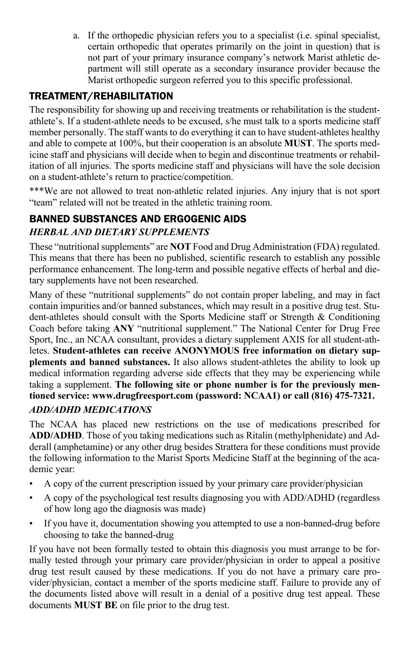a. If the orthopedic physician refers you to a specialist (i.e. spinal specialist, certain orthopedic that operates primarily on the joint in question) that is not part of your primary insurance company's network Marist athletic department will still operate as a secondary insurance provider because the Marist orthopedic surgeon referred you to this specific professional.

# TREATMENT/REHABILITATION

The responsibility for showing up and receiving treatments or rehabilitation is the studentathlete's. If a student-athlete needs to be excused, s/he must talk to a sports medicine staff member personally. The staff wants to do everything it can to have student-athletes healthy and able to compete at 100%, but their cooperation is an absolute **MUST**. The sports medicine staff and physicians will decide when to begin and discontinue treatments or rehabilitation of all injuries. The sports medicine staff and physicians will have the sole decision on a student-athlete's return to practice/competition.

\*\*\*We are not allowed to treat non-athletic related injuries. Any injury that is not sport "team" related will not be treated in the athletic training room.

## BANNED SUBSTANCES AND ERGOGENIC AIDS *HERBAL AND DIETARY SUPPLEMENTS*

These "nutritional supplements" are **NOT** Food and Drug Administration (FDA) regulated. This means that there has been no published, scientific research to establish any possible performance enhancement. The long-term and possible negative effects of herbal and dietary supplements have not been researched.

Many of these "nutritional supplements" do not contain proper labeling, and may in fact contain impurities and/or banned substances, which may result in a positive drug test. Student-athletes should consult with the Sports Medicine staff or Strength & Conditioning Coach before taking **ANY** "nutritional supplement." The National Center for Drug Free Sport, Inc., an NCAA consultant, provides a dietary supplement AXIS for all student-athletes. **Student-athletes can receive ANONYMOUS free information on dietary supplements and banned substances.** It also allows student-athletes the ability to look up medical information regarding adverse side effects that they may be experiencing while taking a supplement. **The following site or phone number is for the previously mentioned service: www.drugfreesport.com (password: NCAA1) or call (816) 475-7321.** *ADD/ADHD MEDICATIONS*

The NCAA has placed new restrictions on the use of medications prescribed for **ADD/ADHD**. Those of you taking medications such as Ritalin (methylphenidate) and Adderall (amphetamine) or any other drug besides Strattera for these conditions must provide the following information to the Marist Sports Medicine Staff at the beginning of the academic year:

- A copy of the current prescription issued by your primary care provider/physician
- A copy of the psychological test results diagnosing you with ADD/ADHD (regardless of how long ago the diagnosis was made)
- If you have it, documentation showing you attempted to use a non-banned-drug before choosing to take the banned-drug

If you have not been formally tested to obtain this diagnosis you must arrange to be formally tested through your primary care provider/physician in order to appeal a positive drug test result caused by these medications. If you do not have a primary care provider/physician, contact a member of the sports medicine staff. Failure to provide any of the documents listed above will result in a denial of a positive drug test appeal. These documents **MUST BE** on file prior to the drug test.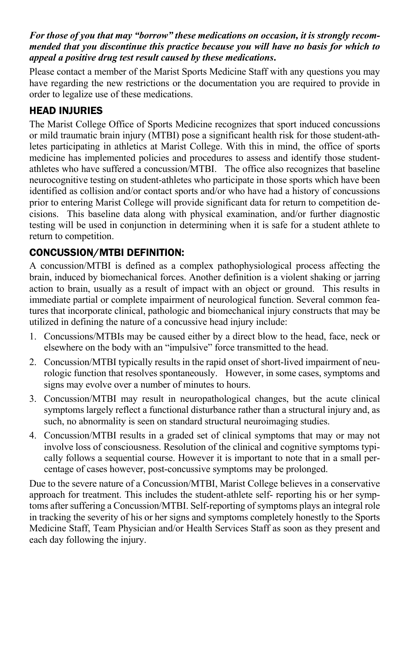#### *For those of you that may "borrow" these medications on occasion, it is strongly recommended that you discontinue this practice because you will have no basis for which to appeal a positive drug test result caused by these medications***.**

Please contact a member of the Marist Sports Medicine Staff with any questions you may have regarding the new restrictions or the documentation you are required to provide in order to legalize use of these medications.

## HEAD INJURIES

The Marist College Office of Sports Medicine recognizes that sport induced concussions or mild traumatic brain injury (MTBI) pose a significant health risk for those student-athletes participating in athletics at Marist College. With this in mind, the office of sports medicine has implemented policies and procedures to assess and identify those studentathletes who have suffered a concussion/MTBI. The office also recognizes that baseline neurocognitive testing on student-athletes who participate in those sports which have been identified as collision and/or contact sports and/or who have had a history of concussions prior to entering Marist College will provide significant data for return to competition decisions. This baseline data along with physical examination, and/or further diagnostic testing will be used in conjunction in determining when it is safe for a student athlete to return to competition.

## CONCUSSION/MTBI DEFINITION:

A concussion/MTBI is defined as a complex pathophysiological process affecting the brain, induced by biomechanical forces. Another definition is a violent shaking or jarring action to brain, usually as a result of impact with an object or ground. This results in immediate partial or complete impairment of neurological function. Several common features that incorporate clinical, pathologic and biomechanical injury constructs that may be utilized in defining the nature of a concussive head injury include:

- 1. Concussions/MTBIs may be caused either by a direct blow to the head, face, neck or elsewhere on the body with an "impulsive" force transmitted to the head.
- 2. Concussion/MTBI typically results in the rapid onset of short-lived impairment of neurologic function that resolves spontaneously. However, in some cases, symptoms and signs may evolve over a number of minutes to hours.
- 3. Concussion/MTBI may result in neuropathological changes, but the acute clinical symptoms largely reflect a functional disturbance rather than a structural injury and, as such, no abnormality is seen on standard structural neuroimaging studies.
- 4. Concussion/MTBI results in a graded set of clinical symptoms that may or may not involve loss of consciousness. Resolution of the clinical and cognitive symptoms typically follows a sequential course. However it is important to note that in a small percentage of cases however, post-concussive symptoms may be prolonged.

Due to the severe nature of a Concussion/MTBI, Marist College believes in a conservative approach for treatment. This includes the student-athlete self- reporting his or her symptoms after suffering a Concussion/MTBI. Self-reporting of symptoms plays an integral role in tracking the severity of his or her signs and symptoms completely honestly to the Sports Medicine Staff, Team Physician and/or Health Services Staff as soon as they present and each day following the injury.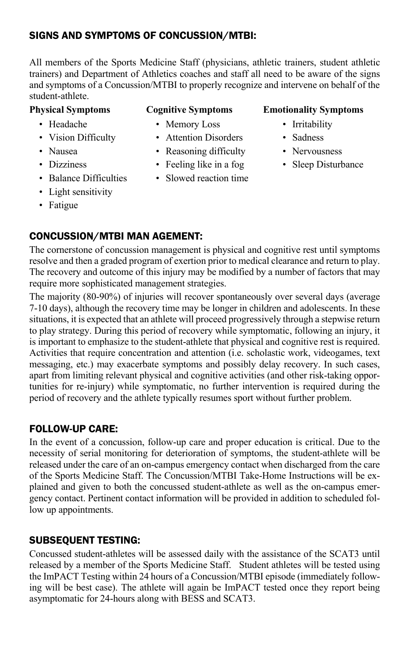#### SIGNS AND SYMPTOMS OF CONCUSSION/MTBI:

All members of the Sports Medicine Staff (physicians, athletic trainers, student athletic trainers) and Department of Athletics coaches and staff all need to be aware of the signs and symptoms of a Concussion/MTBI to properly recognize and intervene on behalf of the student-athlete.

- 
- 
- 
- 
- 
- Light sensitivity
- Fatigue

- Headache Memory Loss Irritability
- Vision Difficulty Attention Disorders Sadness
- Nausea Reasoning difficulty Nervousness
- Dizziness Feeling like in a fog Sleep Disturbance
- Balance Difficulties Slowed reaction time

#### **Physical Symptoms Cognitive Symptoms Emotionality Symptoms**

- 
- 
- 
- 

## CONCUSSION/MTBI MAN AGEMENT:

The cornerstone of concussion management is physical and cognitive rest until symptoms resolve and then a graded program of exertion prior to medical clearance and return to play. The recovery and outcome of this injury may be modified by a number of factors that may require more sophisticated management strategies.

The majority (80-90%) of injuries will recover spontaneously over several days (average 7-10 days), although the recovery time may be longer in children and adolescents. In these situations, it is expected that an athlete will proceed progressively through a stepwise return to play strategy. During this period of recovery while symptomatic, following an injury, it is important to emphasize to the student-athlete that physical and cognitive rest is required. Activities that require concentration and attention (i.e. scholastic work, videogames, text messaging, etc.) may exacerbate symptoms and possibly delay recovery. In such cases, apart from limiting relevant physical and cognitive activities (and other risk-taking opportunities for re-injury) while symptomatic, no further intervention is required during the period of recovery and the athlete typically resumes sport without further problem.

### FOLLOW-UP CARE:

In the event of a concussion, follow-up care and proper education is critical. Due to the necessity of serial monitoring for deterioration of symptoms, the student-athlete will be released under the care of an on-campus emergency contact when discharged from the care of the Sports Medicine Staff. The Concussion/MTBI Take-Home Instructions will be explained and given to both the concussed student-athlete as well as the on-campus emergency contact. Pertinent contact information will be provided in addition to scheduled follow up appointments.

### SUBSEQUENT TESTING:

Concussed student-athletes will be assessed daily with the assistance of the SCAT3 until released by a member of the Sports Medicine Staff. Student athletes will be tested using the ImPACT Testing within 24 hours of a Concussion/MTBI episode (immediately following will be best case). The athlete will again be ImPACT tested once they report being asymptomatic for 24-hours along with BESS and SCAT3.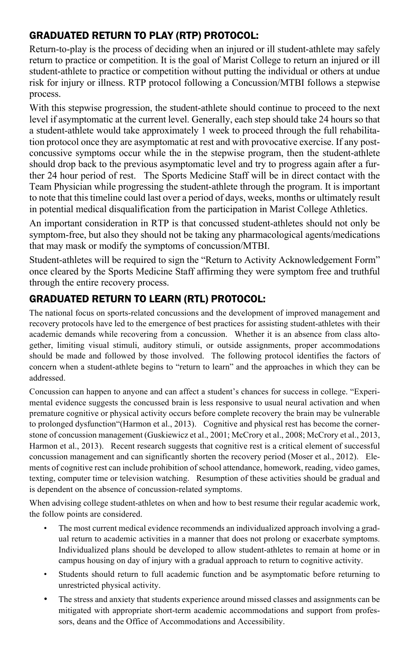#### GRADUATED RETURN TO PLAY (RTP) PROTOCOL:

Return-to-play is the process of deciding when an injured or ill student-athlete may safely return to practice or competition. It is the goal of Marist College to return an injured or ill student-athlete to practice or competition without putting the individual or others at undue risk for injury or illness. RTP protocol following a Concussion/MTBI follows a stepwise process.

With this stepwise progression, the student-athlete should continue to proceed to the next level if asymptomatic at the current level. Generally, each step should take 24 hours so that a student-athlete would take approximately 1 week to proceed through the full rehabilitation protocol once they are asymptomatic at rest and with provocative exercise. If any postconcussive symptoms occur while the in the stepwise program, then the student-athlete should drop back to the previous asymptomatic level and try to progress again after a further 24 hour period of rest. The Sports Medicine Staff will be in direct contact with the Team Physician while progressing the student-athlete through the program. It is important to note that this timeline could last over a period of days, weeks, months or ultimately result in potential medical disqualification from the participation in Marist College Athletics.

An important consideration in RTP is that concussed student-athletes should not only be symptom-free, but also they should not be taking any pharmacological agents/medications that may mask or modify the symptoms of concussion/MTBI.

Student-athletes will be required to sign the "Return to Activity Acknowledgement Form" once cleared by the Sports Medicine Staff affirming they were symptom free and truthful through the entire recovery process.

### GRADUATED RETURN TO LEARN (RTL) PROTOCOL:

The national focus on sports-related concussions and the development of improved management and recovery protocols have led to the emergence of best practices for assisting student-athletes with their academic demands while recovering from a concussion. Whether it is an absence from class altogether, limiting visual stimuli, auditory stimuli, or outside assignments, proper accommodations should be made and followed by those involved. The following protocol identifies the factors of concern when a student-athlete begins to "return to learn" and the approaches in which they can be addressed.

Concussion can happen to anyone and can affect a student's chances for success in college. "Experimental evidence suggests the concussed brain is less responsive to usual neural activation and when premature cognitive or physical activity occurs before complete recovery the brain may be vulnerable to prolonged dysfunction"(Harmon et al., 2013). Cognitive and physical rest has become the cornerstone of concussion management (Guskiewicz et al., 2001; McCrory et al., 2008; McCrory et al., 2013, Harmon et al., 2013). Recent research suggests that cognitive rest is a critical element of successful concussion management and can significantly shorten the recovery period (Moser et al., 2012). Elements of cognitive rest can include prohibition of school attendance, homework, reading, video games, texting, computer time or television watching. Resumption of these activities should be gradual and is dependent on the absence of concussion-related symptoms.

When advising college student-athletes on when and how to best resume their regular academic work, the follow points are considered.

- The most current medical evidence recommends an individualized approach involving a gradual return to academic activities in a manner that does not prolong or exacerbate symptoms. Individualized plans should be developed to allow student-athletes to remain at home or in campus housing on day of injury with a gradual approach to return to cognitive activity.
- Students should return to full academic function and be asymptomatic before returning to unrestricted physical activity.
- The stress and anxiety that students experience around missed classes and assignments can be mitigated with appropriate short-term academic accommodations and support from professors, deans and the Office of Accommodations and Accessibility.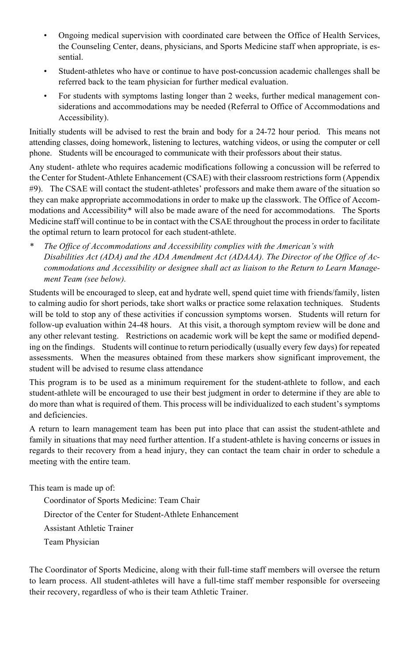- Ongoing medical supervision with coordinated care between the Office of Health Services, the Counseling Center, deans, physicians, and Sports Medicine staff when appropriate, is essential.
- Student-athletes who have or continue to have post-concussion academic challenges shall be referred back to the team physician for further medical evaluation.
- For students with symptoms lasting longer than 2 weeks, further medical management considerations and accommodations may be needed (Referral to Office of Accommodations and Accessibility).

Initially students will be advised to rest the brain and body for a 24-72 hour period. This means not attending classes, doing homework, listening to lectures, watching videos, or using the computer or cell phone. Students will be encouraged to communicate with their professors about their status.

Any student- athlete who requires academic modifications following a concussion will be referred to the Center for Student-Athlete Enhancement (CSAE) with their classroom restrictions form (Appendix #9). The CSAE will contact the student-athletes' professors and make them aware of the situation so they can make appropriate accommodations in order to make up the classwork. The Office of Accommodations and Accessibility\* will also be made aware of the need for accommodations. The Sports Medicine staff will continue to be in contact with the CSAE throughout the process in order to facilitate the optimal return to learn protocol for each student-athlete.

*\* The Office of Accommodations and Accessibility complies with the American's with Disabilities Act (ADA) and the ADA Amendment Act (ADAAA). The Director of the Office of Accommodations and Accessibility or designee shall act as liaison to the Return to Learn Management Team (see below).*

Students will be encouraged to sleep, eat and hydrate well, spend quiet time with friends/family, listen to calming audio for short periods, take short walks or practice some relaxation techniques. Students will be told to stop any of these activities if concussion symptoms worsen. Students will return for follow-up evaluation within 24-48 hours. At this visit, a thorough symptom review will be done and any other relevant testing. Restrictions on academic work will be kept the same or modified depending on the findings. Students will continue to return periodically (usually every few days) for repeated assessments. When the measures obtained from these markers show significant improvement, the student will be advised to resume class attendance

This program is to be used as a minimum requirement for the student-athlete to follow, and each student-athlete will be encouraged to use their best judgment in order to determine if they are able to do more than what is required of them. This process will be individualized to each student's symptoms and deficiencies.

A return to learn management team has been put into place that can assist the student-athlete and family in situations that may need further attention. If a student-athlete is having concerns or issues in regards to their recovery from a head injury, they can contact the team chair in order to schedule a meeting with the entire team.

This team is made up of:

Coordinator of Sports Medicine: Team Chair Director of the Center for Student-Athlete Enhancement Assistant Athletic Trainer Team Physician

The Coordinator of Sports Medicine, along with their full-time staff members will oversee the return to learn process. All student-athletes will have a full-time staff member responsible for overseeing their recovery, regardless of who is their team Athletic Trainer.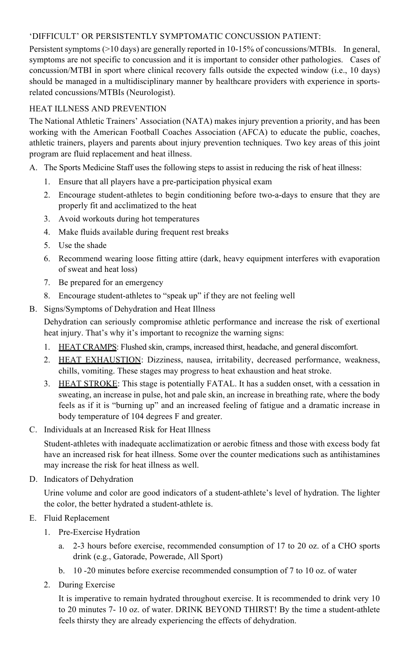#### 'DIFFICULT' OR PERSISTENTLY SYMPTOMATIC CONCUSSION PATIENT:

Persistent symptoms (>10 days) are generally reported in 10-15% of concussions/MTBIs. In general, symptoms are not specific to concussion and it is important to consider other pathologies. Cases of concussion/MTBI in sport where clinical recovery falls outside the expected window (i.e., 10 days) should be managed in a multidisciplinary manner by healthcare providers with experience in sportsrelated concussions/MTBIs (Neurologist).

#### HEAT ILLNESS AND PREVENTION

The National Athletic Trainers' Association (NATA) makes injury prevention a priority, and has been working with the American Football Coaches Association (AFCA) to educate the public, coaches, athletic trainers, players and parents about injury prevention techniques. Two key areas of this joint program are fluid replacement and heat illness.

- A. The Sports Medicine Staff uses the following steps to assist in reducing the risk of heat illness:
	- 1. Ensure that all players have a pre-participation physical exam
	- 2. Encourage student-athletes to begin conditioning before two-a-days to ensure that they are properly fit and acclimatized to the heat
	- 3. Avoid workouts during hot temperatures
	- 4. Make fluids available during frequent rest breaks
	- 5. Use the shade
	- 6. Recommend wearing loose fitting attire (dark, heavy equipment interferes with evaporation of sweat and heat loss)
	- 7. Be prepared for an emergency
	- 8. Encourage student-athletes to "speak up" if they are not feeling well
- B. Signs/Symptoms of Dehydration and Heat Illness

Dehydration can seriously compromise athletic performance and increase the risk of exertional heat injury. That's why it's important to recognize the warning signs:

- 1. HEAT CRAMPS: Flushed skin, cramps, increased thirst, headache, and general discomfort.
- 2. HEAT EXHAUSTION: Dizziness, nausea, irritability, decreased performance, weakness, chills, vomiting. These stages may progress to heat exhaustion and heat stroke.
- 3. HEAT STROKE: This stage is potentially FATAL. It has a sudden onset, with a cessation in sweating, an increase in pulse, hot and pale skin, an increase in breathing rate, where the body feels as if it is "burning up" and an increased feeling of fatigue and a dramatic increase in body temperature of 104 degrees F and greater.
- C. Individuals at an Increased Risk for Heat Illness

Student-athletes with inadequate acclimatization or aerobic fitness and those with excess body fat have an increased risk for heat illness. Some over the counter medications such as antihistamines may increase the risk for heat illness as well.

D. Indicators of Dehydration

Urine volume and color are good indicators of a student-athlete's level of hydration. The lighter the color, the better hydrated a student-athlete is.

- E. Fluid Replacement
	- 1. Pre-Exercise Hydration
		- a. 2-3 hours before exercise, recommended consumption of 17 to 20 oz. of a CHO sports drink (e.g., Gatorade, Powerade, All Sport)
		- b. 10 -20 minutes before exercise recommended consumption of 7 to 10 oz. of water
	- 2. During Exercise

It is imperative to remain hydrated throughout exercise. It is recommended to drink very 10 to 20 minutes 7- 10 oz. of water. DRINK BEYOND THIRST! By the time a student-athlete feels thirsty they are already experiencing the effects of dehydration.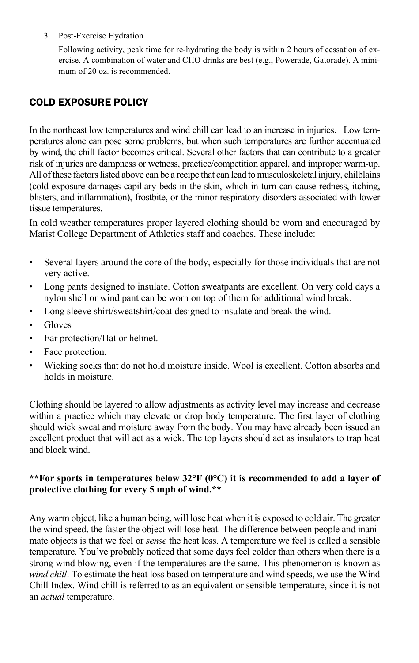3. Post-Exercise Hydration

Following activity, peak time for re-hydrating the body is within 2 hours of cessation of exercise. A combination of water and CHO drinks are best (e.g., Powerade, Gatorade). A minimum of 20 oz. is recommended.

#### COLD EXPOSURE POLICY

In the northeast low temperatures and wind chill can lead to an increase in injuries. Low temperatures alone can pose some problems, but when such temperatures are further accentuated by wind, the chill factor becomes critical. Several other factors that can contribute to a greater risk of injuries are dampness or wetness, practice/competition apparel, and improper warm-up. All of these factors listed above can be a recipe that can lead to musculoskeletal injury, chilblains (cold exposure damages capillary beds in the skin, which in turn can cause redness, itching, blisters, and inflammation), frostbite, or the minor respiratory disorders associated with lower tissue temperatures.

In cold weather temperatures proper layered clothing should be worn and encouraged by Marist College Department of Athletics staff and coaches. These include:

- Several layers around the core of the body, especially for those individuals that are not very active.
- Long pants designed to insulate. Cotton sweatpants are excellent. On very cold days a nylon shell or wind pant can be worn on top of them for additional wind break.
- Long sleeve shirt/sweatshirt/coat designed to insulate and break the wind.
- **Gloves**
- Ear protection/Hat or helmet.
- Face protection.
- Wicking socks that do not hold moisture inside. Wool is excellent. Cotton absorbs and holds in moisture.

Clothing should be layered to allow adjustments as activity level may increase and decrease within a practice which may elevate or drop body temperature. The first layer of clothing should wick sweat and moisture away from the body. You may have already been issued an excellent product that will act as a wick. The top layers should act as insulators to trap heat and block wind.

#### **\*\*For sports in temperatures below 32°F (0°C) it is recommended to add a layer of protective clothing for every 5 mph of wind.\*\***

Any warm object, like a human being, will lose heat when it is exposed to cold air. The greater the wind speed, the faster the object will lose heat. The difference between people and inanimate objects is that we feel or *sense* the heat loss. A temperature we feel is called a sensible temperature. You've probably noticed that some days feel colder than others when there is a strong wind blowing, even if the temperatures are the same. This phenomenon is known as *wind chill*. To estimate the heat loss based on temperature and wind speeds, we use the Wind Chill Index. Wind chill is referred to as an equivalent or sensible temperature, since it is not an *actual* temperature.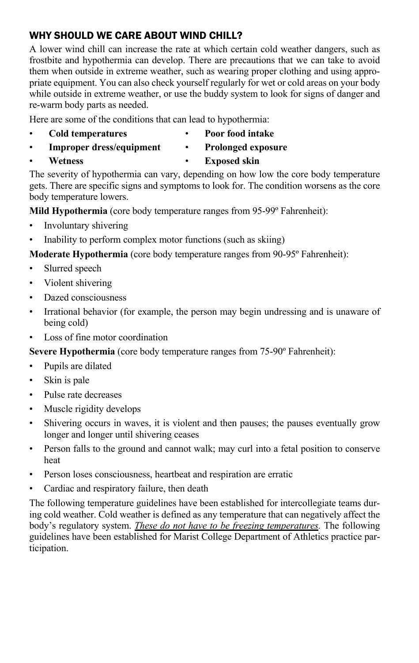#### WHY SHOULD WE CARE ABOUT WIND CHILL?

A lower wind chill can increase the rate at which certain cold weather dangers, such as frostbite and hypothermia can develop. There are precautions that we can take to avoid them when outside in extreme weather, such as wearing proper clothing and using appropriate equipment. You can also check yourself regularly for wet or cold areas on your body while outside in extreme weather, or use the buddy system to look for signs of danger and re-warm body parts as needed.

Here are some of the conditions that can lead to hypothermia:

- - **Cold temperatures Poor food intake**
- **Improper dress/equipment Prolonged exposure**
	-

• **Wetness** • **Exposed skin** The severity of hypothermia can vary, depending on how low the core body temperature gets. There are specific signs and symptoms to look for. The condition worsens as the core body temperature lowers.

**Mild Hypothermia** (core body temperature ranges from 95-99º Fahrenheit):

- Involuntary shivering
- Inability to perform complex motor functions (such as skiing)

**Moderate Hypothermia** (core body temperature ranges from 90-95º Fahrenheit):

- Slurred speech
- Violent shivering
- Dazed consciousness
- Irrational behavior (for example, the person may begin undressing and is unaware of being cold)
- Loss of fine motor coordination

**Severe Hypothermia** (core body temperature ranges from 75-90º Fahrenheit):

- Pupils are dilated
- Skin is pale
- Pulse rate decreases
- Muscle rigidity develops
- Shivering occurs in waves, it is violent and then pauses; the pauses eventually grow longer and longer until shivering ceases
- Person falls to the ground and cannot walk; may curl into a fetal position to conserve heat
- Person loses consciousness, heartbeat and respiration are erratic
- Cardiac and respiratory failure, then death

The following temperature guidelines have been established for intercollegiate teams during cold weather. Cold weather is defined as any temperature that can negatively affect the body's regulatory system. *These do not have to be freezing temperatures.* The following guidelines have been established for Marist College Department of Athletics practice participation.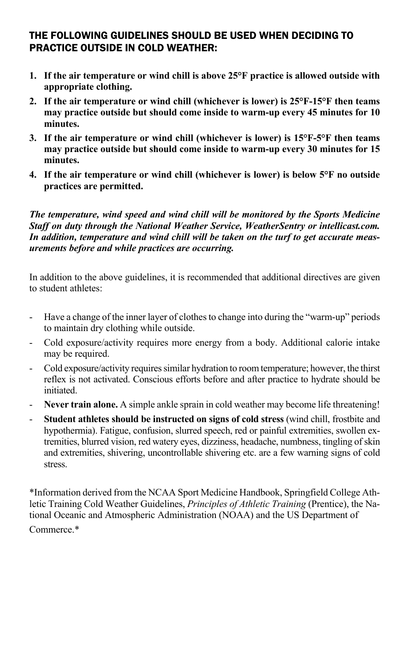#### THE FOLLOWING GUIDELINES SHOULD BE USED WHEN DECIDING TO PRACTICE OUTSIDE IN COLD WEATHER:

- **1. If the air temperature or wind chill is above 25°F practice is allowed outside with appropriate clothing.**
- **2. If the air temperature or wind chill (whichever is lower) is 25°F-15°F then teams may practice outside but should come inside to warm-up every 45 minutes for 10 minutes.**
- **3. If the air temperature or wind chill (whichever is lower) is 15°F-5°F then teams may practice outside but should come inside to warm-up every 30 minutes for 15 minutes.**
- **4. If the air temperature or wind chill (whichever is lower) is below 5°F no outside practices are permitted.**

#### *The temperature, wind speed and wind chill will be monitored by the Sports Medicine Staff on duty through the National Weather Service, WeatherSentry or intellicast.com. In addition, temperature and wind chill will be taken on the turf to get accurate measurements before and while practices are occurring.*

In addition to the above guidelines, it is recommended that additional directives are given to student athletes:

- Have a change of the inner layer of clothes to change into during the "warm-up" periods to maintain dry clothing while outside.
- Cold exposure/activity requires more energy from a body. Additional calorie intake may be required.
- Cold exposure/activity requires similar hydration to room temperature; however, the thirst reflex is not activated. Conscious efforts before and after practice to hydrate should be initiated.
- **Never train alone.** A simple ankle sprain in cold weather may become life threatening!
- **Student athletes should be instructed on signs of cold stress** (wind chill, frostbite and hypothermia). Fatigue, confusion, slurred speech, red or painful extremities, swollen extremities, blurred vision, red watery eyes, dizziness, headache, numbness, tingling of skin and extremities, shivering, uncontrollable shivering etc. are a few warning signs of cold stress.

\*Information derived from the NCAA Sport Medicine Handbook, Springfield College Athletic Training Cold Weather Guidelines, *Principles of Athletic Training* (Prentice), the National Oceanic and Atmospheric Administration (NOAA) and the US Department of Commerce.\*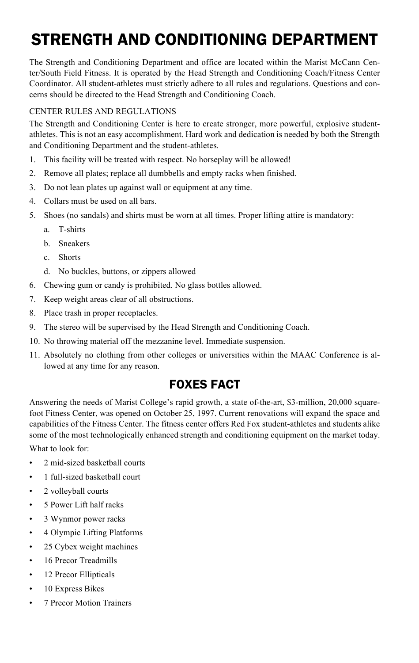# STRENGTH AND CONDITIONING DEPARTMENT

The Strength and Conditioning Department and office are located within the Marist McCann Center/South Field Fitness. It is operated by the Head Strength and Conditioning Coach/Fitness Center Coordinator. All student-athletes must strictly adhere to all rules and regulations. Questions and concerns should be directed to the Head Strength and Conditioning Coach.

#### CENTER RULES AND REGULATIONS

The Strength and Conditioning Center is here to create stronger, more powerful, explosive studentathletes. This is not an easy accomplishment. Hard work and dedication is needed by both the Strength and Conditioning Department and the student-athletes.

- 1. This facility will be treated with respect. No horseplay will be allowed!
- 2. Remove all plates; replace all dumbbells and empty racks when finished.
- 3. Do not lean plates up against wall or equipment at any time.
- 4. Collars must be used on all bars.
- 5. Shoes (no sandals) and shirts must be worn at all times. Proper lifting attire is mandatory:
	- a. T-shirts
	- b. Sneakers
	- c. Shorts
	- d. No buckles, buttons, or zippers allowed
- 6. Chewing gum or candy is prohibited. No glass bottles allowed.
- 7. Keep weight areas clear of all obstructions.
- 8. Place trash in proper receptacles.
- 9. The stereo will be supervised by the Head Strength and Conditioning Coach.
- 10. No throwing material off the mezzanine level. Immediate suspension.
- 11. Absolutely no clothing from other colleges or universities within the MAAC Conference is allowed at any time for any reason.

# FOXES FACT

Answering the needs of Marist College's rapid growth, a state of-the-art, \$3-million, 20,000 squarefoot Fitness Center, was opened on October 25, 1997. Current renovations will expand the space and capabilities of the Fitness Center. The fitness center offers Red Fox student-athletes and students alike some of the most technologically enhanced strength and conditioning equipment on the market today.

What to look for:

- 2 mid-sized basketball courts
- 1 full-sized basketball court
- 2 volleyball courts
- 5 Power Lift half racks
- 3 Wynmor power racks
- 4 Olympic Lifting Platforms
- 25 Cybex weight machines
- 16 Precor Treadmills
- 12 Precor Ellipticals
- 10 Express Bikes
- 7 Precor Motion Trainers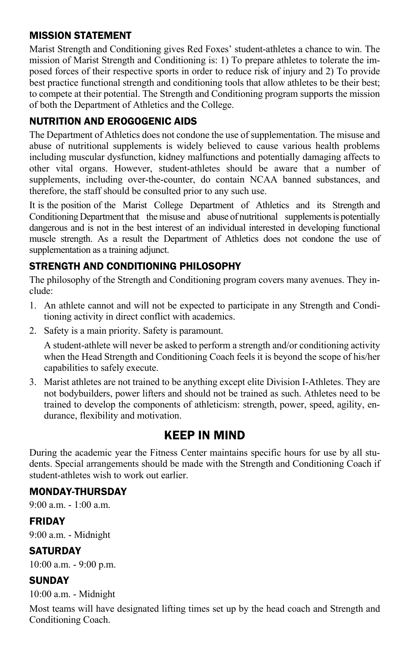#### MISSION STATEMENT

Marist Strength and Conditioning gives Red Foxes' student-athletes a chance to win. The mission of Marist Strength and Conditioning is: 1) To prepare athletes to tolerate the imposed forces of their respective sports in order to reduce risk of injury and 2) To provide best practice functional strength and conditioning tools that allow athletes to be their best; to compete at their potential. The Strength and Conditioning program supports the mission of both the Department of Athletics and the College.

#### NUTRITION AND EROGOGENIC AIDS

The Department of Athletics does not condone the use of supplementation. The misuse and abuse of nutritional supplements is widely believed to cause various health problems including muscular dysfunction, kidney malfunctions and potentially damaging affects to other vital organs. However, student-athletes should be aware that a number of supplements, including over-the-counter, do contain NCAA banned substances, and therefore, the staff should be consulted prior to any such use.

It is the position of the Marist College Department of Athletics and its Strength and Conditioning Department that the misuse and abuse of nutritional supplements is potentially dangerous and is not in the best interest of an individual interested in developing functional muscle strength. As a result the Department of Athletics does not condone the use of supplementation as a training adjunct.

#### STRENGTH AND CONDITIONING PHILOSOPHY

The philosophy of the Strength and Conditioning program covers many avenues. They include:

- 1. An athlete cannot and will not be expected to participate in any Strength and Conditioning activity in direct conflict with academics.
- 2. Safety is a main priority. Safety is paramount.

A student-athlete will never be asked to perform a strength and/or conditioning activity when the Head Strength and Conditioning Coach feels it is beyond the scope of his/her capabilities to safely execute.

3. Marist athletes are not trained to be anything except elite Division I-Athletes. They are not bodybuilders, power lifters and should not be trained as such. Athletes need to be trained to develop the components of athleticism: strength, power, speed, agility, endurance, flexibility and motivation.

# KEEP IN MIND

During the academic year the Fitness Center maintains specific hours for use by all students. Special arrangements should be made with the Strength and Conditioning Coach if student-athletes wish to work out earlier.

#### MONDAY-THURSDAY

 $9.00 a \, \text{m} - 1.00 a \, \text{m}$ 

#### FRIDAY

9:00 a.m. - Midnight

#### **SATURDAY**

10:00 a.m. - 9:00 p.m.

#### **SUNDAY**

10:00 a.m. - Midnight

Most teams will have designated lifting times set up by the head coach and Strength and Conditioning Coach.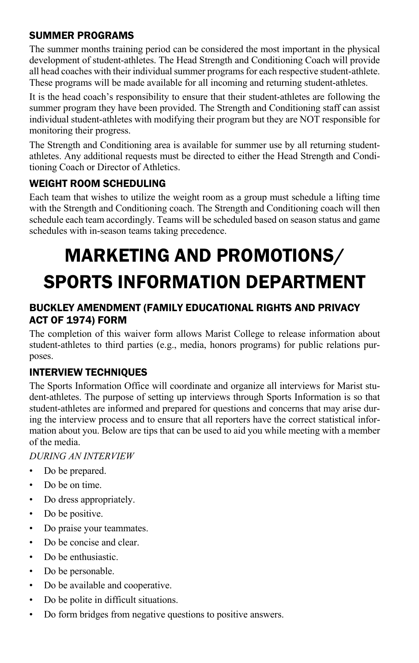#### SUMMER PROGRAMS

The summer months training period can be considered the most important in the physical development of student-athletes. The Head Strength and Conditioning Coach will provide all head coaches with their individual summer programs for each respective student-athlete. These programs will be made available for all incoming and returning student-athletes.

It is the head coach's responsibility to ensure that their student-athletes are following the summer program they have been provided. The Strength and Conditioning staff can assist individual student-athletes with modifying their program but they are NOT responsible for monitoring their progress.

The Strength and Conditioning area is available for summer use by all returning studentathletes. Any additional requests must be directed to either the Head Strength and Conditioning Coach or Director of Athletics.

## WEIGHT ROOM SCHEDULING

Each team that wishes to utilize the weight room as a group must schedule a lifting time with the Strength and Conditioning coach. The Strength and Conditioning coach will then schedule each team accordingly. Teams will be scheduled based on season status and game schedules with in-season teams taking precedence.

# MARKETING AND PROMOTIONS/ SPORTS INFORMATION DEPARTMENT

### BUCKLEY AMENDMENT (FAMILY EDUCATIONAL RIGHTS AND PRIVACY ACT OF 1974) FORM

The completion of this waiver form allows Marist College to release information about student-athletes to third parties (e.g., media, honors programs) for public relations purposes.

# INTERVIEW TECHNIQUES

The Sports Information Office will coordinate and organize all interviews for Marist student-athletes. The purpose of setting up interviews through Sports Information is so that student-athletes are informed and prepared for questions and concerns that may arise during the interview process and to ensure that all reporters have the correct statistical information about you. Below are tips that can be used to aid you while meeting with a member of the media.

#### *DURING AN INTERVIEW*

- Do be prepared.
- Do be on time.
- Do dress appropriately.
- Do be positive.
- Do praise your teammates.
- Do be concise and clear.
- Do be enthusiastic.
- Do be personable.
- Do be available and cooperative.
- Do be polite in difficult situations.
- Do form bridges from negative questions to positive answers.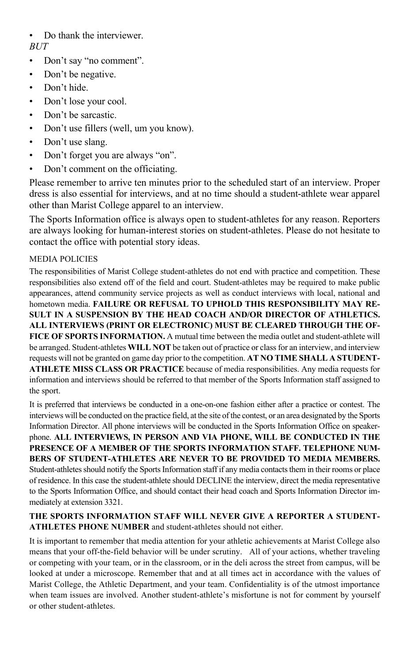• Do thank the interviewer. *BUT*

- Don't say "no comment".
- Don't be negative.
- Don't hide.
- Don't lose your cool.
- Don't be sarcastic.
- Don't use fillers (well, um you know).
- Don't use slang.
- Don't forget you are always "on".
- Don't comment on the officiating.

Please remember to arrive ten minutes prior to the scheduled start of an interview. Proper dress is also essential for interviews, and at no time should a student-athlete wear apparel other than Marist College apparel to an interview.

The Sports Information office is always open to student-athletes for any reason. Reporters are always looking for human-interest stories on student-athletes. Please do not hesitate to contact the office with potential story ideas.

#### MEDIA POLICIES

The responsibilities of Marist College student-athletes do not end with practice and competition. These responsibilities also extend off of the field and court. Student-athletes may be required to make public appearances, attend community service projects as well as conduct interviews with local, national and hometown media. **FAILURE OR REFUSAL TO UPHOLD THIS RESPONSIBILITY MAY RE-SULT IN A SUSPENSION BY THE HEAD COACH AND/OR DIRECTOR OF ATHLETICS. ALL INTERVIEWS (PRINT OR ELECTRONIC) MUST BE CLEARED THROUGH THE OF-**FICE OF SPORTS INFORMATION. A mutual time between the media outlet and student-athlete will be arranged. Student-athletes **WILL NOT** be taken out of practice or class for an interview, and interview requests will not be granted on game day prior to the competition. **AT NO TIME SHALL A STUDENT-ATHLETE MISS CLASS OR PRACTICE** because of media responsibilities. Any media requests for information and interviews should be referred to that member of the Sports Information staff assigned to the sport.

It is preferred that interviews be conducted in a one-on-one fashion either after a practice or contest. The interviews will be conducted on the practice field, at the site of the contest, or an area designated by the Sports Information Director. All phone interviews will be conducted in the Sports Information Office on speakerphone. **ALL INTERVIEWS, IN PERSON AND VIA PHONE, WILL BE CONDUCTED IN THE PRESENCE OF A MEMBER OF THE SPORTS INFORMATION STAFF. TELEPHONE NUM-BERS OF STUDENT-ATHLETES ARE NEVER TO BE PROVIDED TO MEDIA MEMBERS.**  Student-athletes should notify the Sports Information staff if any media contacts them in their rooms or place of residence. In this case the student-athlete should DECLINE the interview, direct the media representative to the Sports Information Office, and should contact their head coach and Sports Information Director immediately at extension 3321.

#### **THE SPORTS INFORMATION STAFF WILL NEVER GIVE A REPORTER A STUDENT-ATHLETES PHONE NUMBER** and student-athletes should not either.

It is important to remember that media attention for your athletic achievements at Marist College also means that your off-the-field behavior will be under scrutiny. All of your actions, whether traveling or competing with your team, or in the classroom, or in the deli across the street from campus, will be looked at under a microscope. Remember that and at all times act in accordance with the values of Marist College, the Athletic Department, and your team. Confidentiality is of the utmost importance when team issues are involved. Another student-athlete's misfortune is not for comment by yourself or other student-athletes.